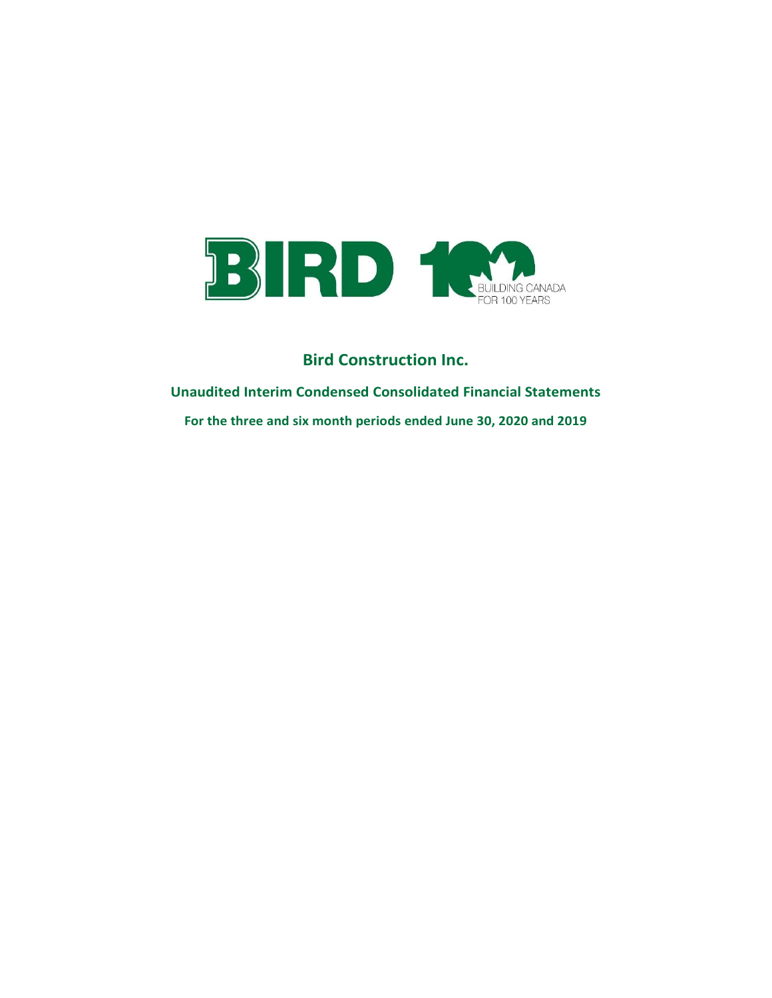

Unaudited Interim Condensed Consolidated Financial Statements For the three and six month periods ended June 30, 2020 and 2019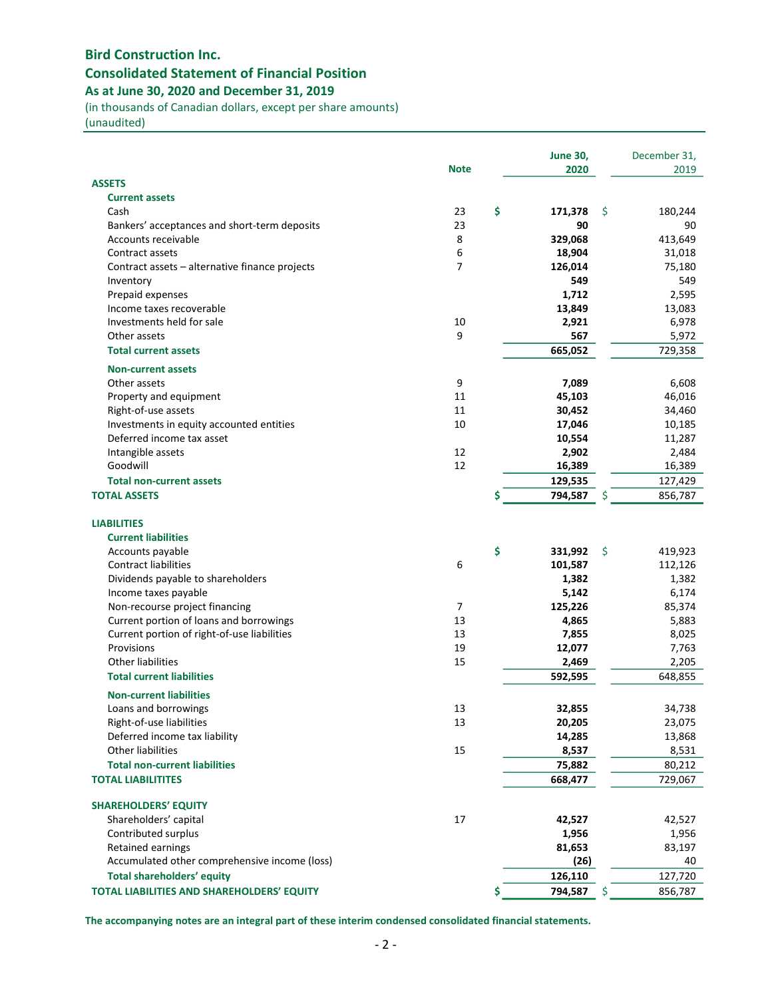# Bird Construction Inc. Consolidated Statement of Financial Position As at June 30, 2020 and December 31, 2019

(in thousands of Canadian dollars, except per share amounts)

(unaudited)

|                                                                       |                | <b>June 30,</b>  |          | December 31,     |
|-----------------------------------------------------------------------|----------------|------------------|----------|------------------|
|                                                                       | <b>Note</b>    | 2020             |          | 2019             |
| <b>ASSETS</b><br><b>Current assets</b>                                |                |                  |          |                  |
| Cash                                                                  | 23             | \$<br>171,378    | -\$      | 180.244          |
| Bankers' acceptances and short-term deposits                          | 23             | 90               |          | 90               |
| Accounts receivable                                                   | 8              | 329,068          |          | 413,649          |
| Contract assets                                                       | 6              | 18,904           |          | 31,018           |
| Contract assets - alternative finance projects                        | $\overline{7}$ | 126,014          |          | 75,180           |
| Inventory                                                             |                | 549              |          | 549              |
| Prepaid expenses                                                      |                | 1,712            |          | 2,595            |
| Income taxes recoverable                                              |                | 13,849           |          | 13,083           |
| Investments held for sale                                             | 10             | 2,921            |          | 6,978            |
| Other assets                                                          | 9              | 567              |          | 5,972            |
| <b>Total current assets</b>                                           |                | 665,052          |          | 729,358          |
|                                                                       |                |                  |          |                  |
| <b>Non-current assets</b><br>Other assets                             |                |                  |          |                  |
|                                                                       | 9<br>11        | 7,089            |          | 6,608            |
| Property and equipment                                                | 11             | 45,103           |          | 46,016           |
| Right-of-use assets                                                   | 10             | 30,452<br>17,046 |          | 34,460<br>10,185 |
| Investments in equity accounted entities<br>Deferred income tax asset |                | 10,554           |          | 11,287           |
| Intangible assets                                                     | 12             | 2,902            |          | 2,484            |
| Goodwill                                                              | 12             | 16,389           |          | 16,389           |
| <b>Total non-current assets</b>                                       |                | 129,535          |          | 127,429          |
|                                                                       |                | 794,587          |          |                  |
| <b>TOTAL ASSETS</b>                                                   |                | \$               | \$       | 856,787          |
| <b>LIABILITIES</b>                                                    |                |                  |          |                  |
| <b>Current liabilities</b>                                            |                |                  |          |                  |
| Accounts payable                                                      |                | \$<br>331,992    | <b>S</b> | 419,923          |
| <b>Contract liabilities</b>                                           | 6              | 101,587          |          | 112,126          |
| Dividends payable to shareholders                                     |                | 1,382            |          | 1,382            |
| Income taxes payable                                                  |                | 5,142            |          | 6,174            |
| Non-recourse project financing                                        | $\overline{7}$ | 125,226          |          | 85,374           |
| Current portion of loans and borrowings                               | 13             | 4,865            |          | 5,883            |
| Current portion of right-of-use liabilities                           | 13             | 7,855            |          | 8,025            |
| Provisions                                                            | 19             | 12,077           |          | 7,763            |
| <b>Other liabilities</b>                                              | 15             | 2,469            |          | 2,205            |
| <b>Total current liabilities</b>                                      |                | 592,595          |          | 648,855          |
| <b>Non-current liabilities</b>                                        |                |                  |          |                  |
|                                                                       |                |                  |          |                  |
| Loans and borrowings                                                  | 13             | 32,855           |          | 34,738           |
| Right-of-use liabilities                                              | 13             | 20,205           |          | 23,075           |
| Deferred income tax liability<br><b>Other liabilities</b>             |                | 14,285           |          | 13,868           |
|                                                                       | 15             | 8,537            |          | 8,531            |
| <b>Total non-current liabilities</b>                                  |                | 75,882           |          | 80,212           |
| <b>TOTAL LIABILITITES</b>                                             |                | 668,477          |          | 729,067          |
| <b>SHAREHOLDERS' EQUITY</b>                                           |                |                  |          |                  |
| Shareholders' capital                                                 | 17             | 42,527           |          | 42,527           |
| Contributed surplus                                                   |                | 1,956            |          | 1,956            |
| Retained earnings                                                     |                | 81,653           |          | 83,197           |
| Accumulated other comprehensive income (loss)                         |                | (26)             |          | 40               |
| <b>Total shareholders' equity</b>                                     |                | 126,110          |          | 127,720          |
| TOTAL LIABILITIES AND SHAREHOLDERS' EQUITY                            |                | \$<br>794,587    | \$       | 856,787          |
|                                                                       |                |                  |          |                  |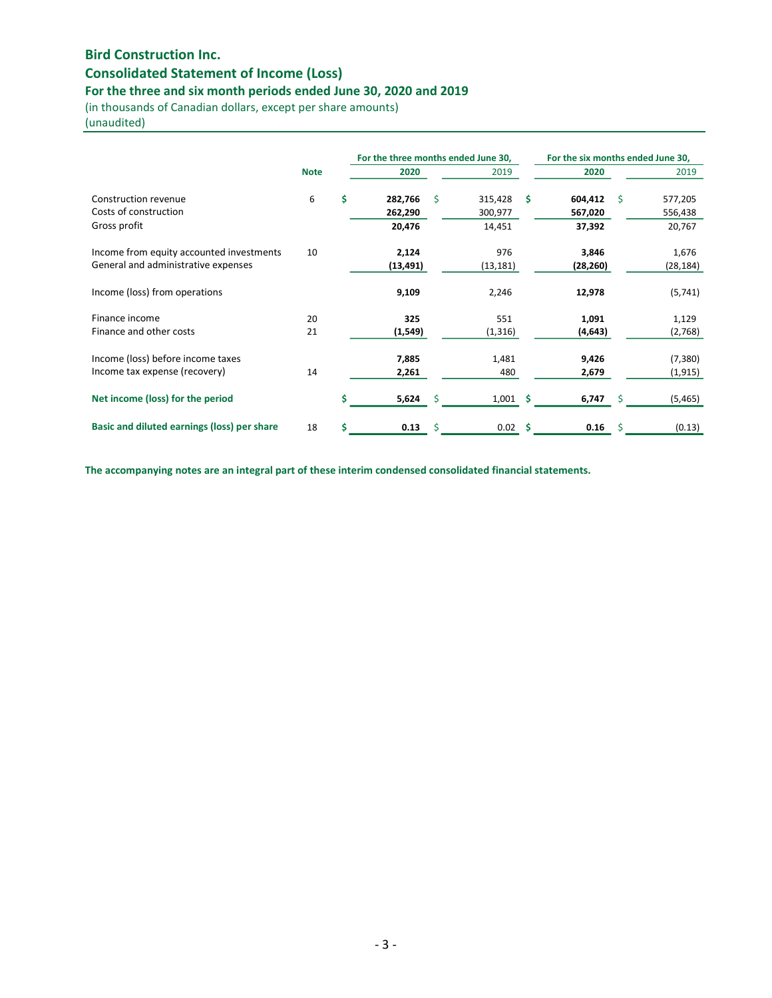# Consolidated Statement of Income (Loss)

## For the three and six month periods ended June 30, 2020 and 2019

(in thousands of Canadian dollars, except per share amounts)

(unaudited)

|                                             |             |   | For the three months ended June 30, |    |           |    | For the six months ended June 30, |   |           |
|---------------------------------------------|-------------|---|-------------------------------------|----|-----------|----|-----------------------------------|---|-----------|
|                                             | <b>Note</b> |   | 2020                                |    | 2019      |    | 2020                              |   | 2019      |
| Construction revenue                        | 6           | Ś | 282,766                             | Š. | 315,428   | \$ | 604,412                           | Ŝ | 577,205   |
| Costs of construction                       |             |   | 262,290                             |    | 300,977   |    | 567,020                           |   | 556,438   |
| Gross profit                                |             |   | 20,476                              |    | 14,451    |    | 37,392                            |   | 20,767    |
| Income from equity accounted investments    | 10          |   | 2,124                               |    | 976       |    | 3,846                             |   | 1,676     |
| General and administrative expenses         |             |   | (13, 491)                           |    | (13, 181) |    | (28, 260)                         |   | (28, 184) |
| Income (loss) from operations               |             |   | 9,109                               |    | 2,246     |    | 12,978                            |   | (5,741)   |
| Finance income                              | 20          |   | 325                                 |    | 551       |    | 1,091                             |   | 1,129     |
| Finance and other costs                     | 21          |   | (1, 549)                            |    | (1, 316)  |    | (4, 643)                          |   | (2,768)   |
| Income (loss) before income taxes           |             |   | 7,885                               |    | 1,481     |    | 9,426                             |   | (7, 380)  |
| Income tax expense (recovery)               | 14          |   | 2,261                               |    | 480       |    | 2,679                             |   | (1, 915)  |
| Net income (loss) for the period            |             |   | 5,624                               | Ŝ  | 1,001     | s  | 6,747                             |   | (5, 465)  |
| Basic and diluted earnings (loss) per share | 18          | Ś | 0.13                                | Ś  | 0.02      | Ś  | 0.16                              | Ś | (0.13)    |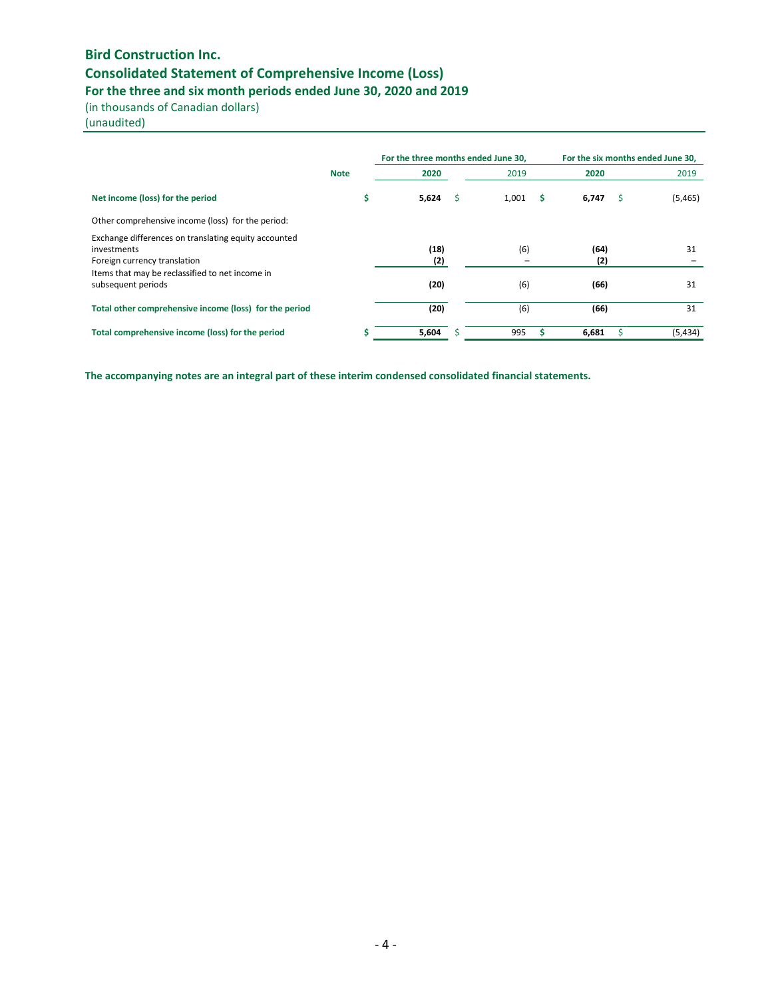# Bird Construction Inc. Consolidated Statement of Comprehensive Income (Loss)

For the three and six month periods ended June 30, 2020 and 2019

(in thousands of Canadian dollars)

(unaudited)

|                                                                                                     |             | For the three months ended June 30, |   |            |             | For the six months ended June 30. |
|-----------------------------------------------------------------------------------------------------|-------------|-------------------------------------|---|------------|-------------|-----------------------------------|
|                                                                                                     | <b>Note</b> | 2020                                |   | 2019       | 2020        | 2019                              |
| Net income (loss) for the period                                                                    | \$          | 5,624                               | s | 1,001<br>s | 6,747       | (5,465)<br>S                      |
| Other comprehensive income (loss) for the period:                                                   |             |                                     |   |            |             |                                   |
| Exchange differences on translating equity accounted<br>investments<br>Foreign currency translation |             | (18)<br>(2)                         |   | (6)        | (64)<br>(2) | 31                                |
| Items that may be reclassified to net income in<br>subsequent periods                               |             | (20)                                |   | (6)        | (66)        | 31                                |
| Total other comprehensive income (loss) for the period                                              |             | (20)                                |   | (6)        | (66)        | 31                                |
| Total comprehensive income (loss) for the period                                                    |             | 5,604                               |   | 995        | 6,681       | (5, 434)                          |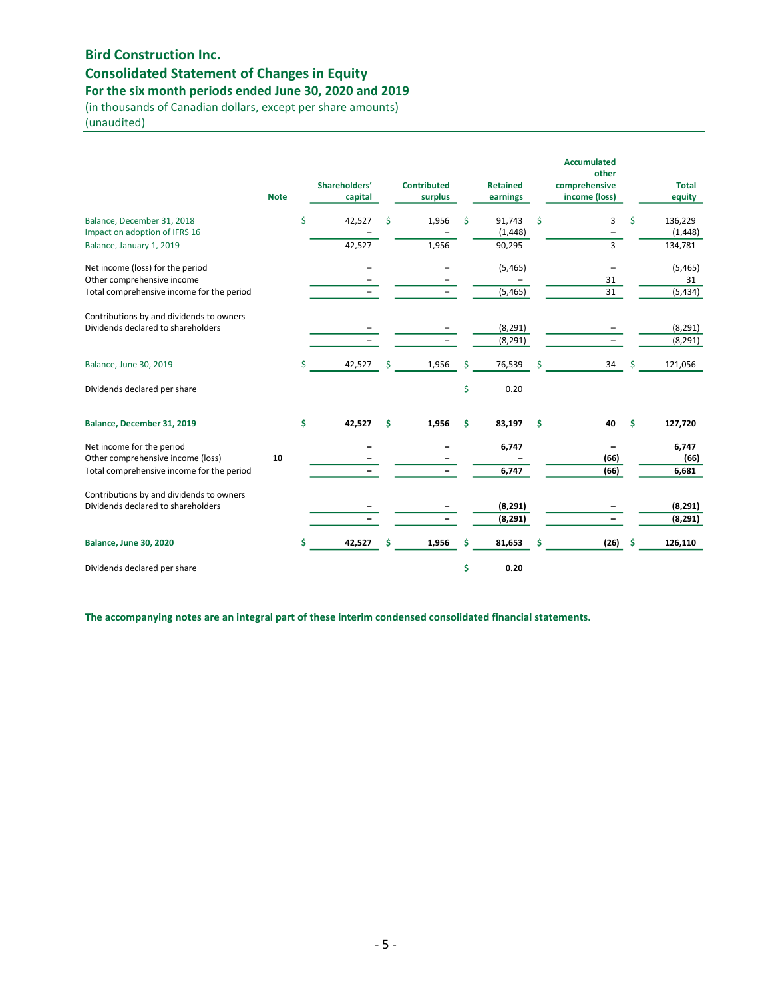# Consolidated Statement of Changes in Equity

For the six month periods ended June 30, 2020 and 2019

(in thousands of Canadian dollars, except per share amounts) (unaudited)

|                                                                                                             | <b>Note</b> | Shareholders'<br>capital |    | <b>Contributed</b><br>surplus |    | <b>Retained</b><br>earnings |    | <b>Accumulated</b><br>other<br>comprehensive<br>income (loss) |    | <b>Total</b><br>equity     |
|-------------------------------------------------------------------------------------------------------------|-------------|--------------------------|----|-------------------------------|----|-----------------------------|----|---------------------------------------------------------------|----|----------------------------|
| Balance, December 31, 2018<br>Impact on adoption of IFRS 16                                                 |             | \$<br>42,527             | Ś  | 1,956                         | Ś  | 91,743<br>(1, 448)          | \$ | 3                                                             | \$ | 136,229<br>(1, 448)        |
| Balance, January 1, 2019                                                                                    |             | 42,527                   |    | 1,956                         |    | 90,295                      |    | $\overline{3}$                                                |    | 134,781                    |
| Net income (loss) for the period<br>Other comprehensive income<br>Total comprehensive income for the period |             |                          |    |                               |    | (5, 465)<br>(5, 465)        |    | 31<br>31                                                      |    | (5, 465)<br>31<br>(5, 434) |
| Contributions by and dividends to owners<br>Dividends declared to shareholders                              |             |                          |    |                               |    | (8, 291)<br>(8, 291)        |    |                                                               |    | (8, 291)<br>(8, 291)       |
| Balance, June 30, 2019                                                                                      |             | \$<br>42,527             | Ś  | 1,956                         | Ś  | 76,539                      | Ś  | 34                                                            | Ŝ  | 121,056                    |
| Dividends declared per share                                                                                |             |                          |    |                               | \$ | 0.20                        |    |                                                               |    |                            |
| Balance, December 31, 2019                                                                                  |             | \$<br>42,527             | \$ | 1,956                         | \$ | 83,197                      | \$ | 40                                                            | Ś  | 127,720                    |
| Net income for the period<br>Other comprehensive income (loss)<br>Total comprehensive income for the period | 10          |                          |    |                               |    | 6,747<br>6,747              |    | (66)<br>(66)                                                  |    | 6,747<br>(66)<br>6,681     |
| Contributions by and dividends to owners<br>Dividends declared to shareholders                              |             |                          |    |                               |    | (8, 291)<br>(8, 291)        |    |                                                               |    | (8, 291)<br>(8, 291)       |
| <b>Balance, June 30, 2020</b>                                                                               |             | \$<br>42,527             | Ś  | 1,956                         | \$ | 81,653                      | S  | $(26)$ \$                                                     |    | 126,110                    |
| Dividends declared per share                                                                                |             |                          |    |                               | \$ | 0.20                        |    |                                                               |    |                            |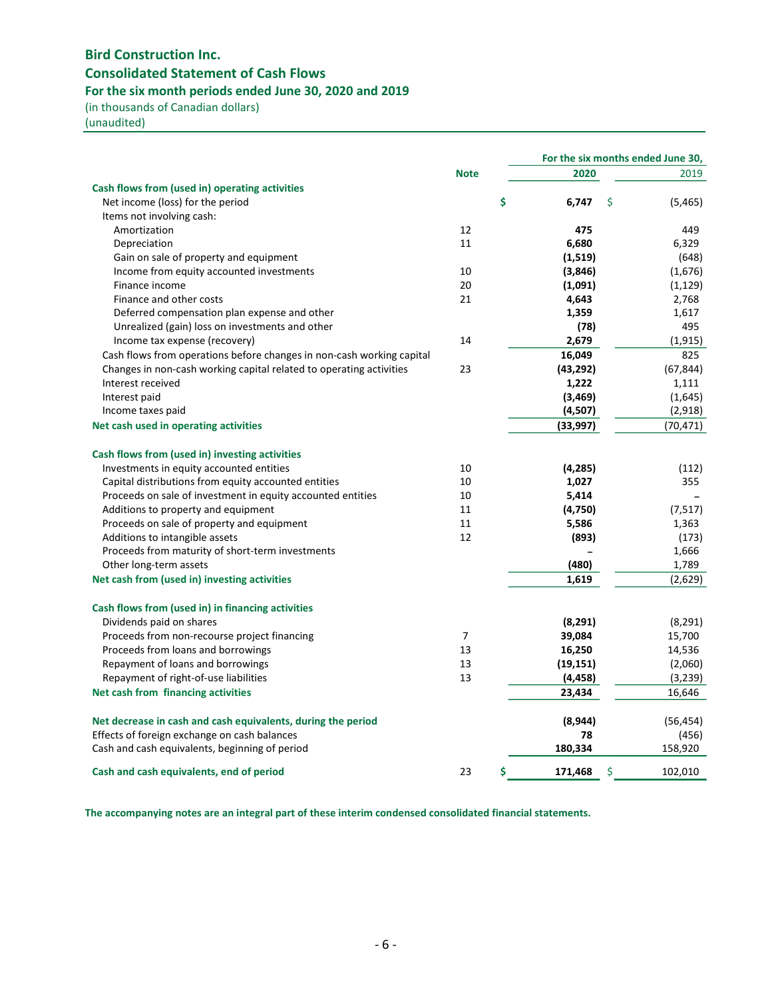# Bird Construction Inc. Consolidated Statement of Cash Flows For the six month periods ended June 30, 2020 and 2019

(in thousands of Canadian dollars)

(unaudited)

|                                                                       |                |           | For the six months ended June 30, |           |
|-----------------------------------------------------------------------|----------------|-----------|-----------------------------------|-----------|
|                                                                       | <b>Note</b>    | 2020      |                                   | 2019      |
| Cash flows from (used in) operating activities                        |                |           |                                   |           |
| Net income (loss) for the period                                      | \$             | 6,747     | \$                                | (5, 465)  |
| Items not involving cash:                                             |                |           |                                   |           |
| Amortization                                                          | 12             | 475       |                                   | 449       |
| Depreciation                                                          | 11             | 6,680     |                                   | 6,329     |
| Gain on sale of property and equipment                                |                | (1,519)   |                                   | (648)     |
| Income from equity accounted investments                              | 10             | (3,846)   |                                   | (1,676)   |
| Finance income                                                        | 20             | (1,091)   |                                   | (1, 129)  |
| Finance and other costs                                               | 21             | 4,643     |                                   | 2,768     |
| Deferred compensation plan expense and other                          |                | 1,359     |                                   | 1,617     |
| Unrealized (gain) loss on investments and other                       |                | (78)      |                                   | 495       |
| Income tax expense (recovery)                                         | 14             | 2,679     |                                   | (1, 915)  |
| Cash flows from operations before changes in non-cash working capital |                | 16,049    |                                   | 825       |
| Changes in non-cash working capital related to operating activities   | 23             | (43, 292) |                                   | (67, 844) |
| Interest received                                                     |                | 1,222     |                                   | 1,111     |
| Interest paid                                                         |                | (3, 469)  |                                   | (1,645)   |
| Income taxes paid                                                     |                | (4,507)   |                                   | (2,918)   |
| Net cash used in operating activities                                 |                | (33,997)  |                                   | (70, 471) |
| Cash flows from (used in) investing activities                        |                |           |                                   |           |
| Investments in equity accounted entities                              | 10             | (4,285)   |                                   | (112)     |
| Capital distributions from equity accounted entities                  | 10             | 1,027     |                                   | 355       |
| Proceeds on sale of investment in equity accounted entities           | 10             | 5,414     |                                   |           |
| Additions to property and equipment                                   | 11             | (4,750)   |                                   | (7, 517)  |
| Proceeds on sale of property and equipment                            | 11             | 5,586     |                                   | 1,363     |
| Additions to intangible assets                                        | 12             | (893)     |                                   | (173)     |
| Proceeds from maturity of short-term investments                      |                |           |                                   | 1,666     |
| Other long-term assets                                                |                | (480)     |                                   | 1,789     |
| Net cash from (used in) investing activities                          |                | 1,619     |                                   | (2,629)   |
| Cash flows from (used in) in financing activities                     |                |           |                                   |           |
| Dividends paid on shares                                              |                | (8,291)   |                                   | (8, 291)  |
| Proceeds from non-recourse project financing                          | $\overline{7}$ | 39,084    |                                   | 15,700    |
| Proceeds from loans and borrowings                                    | 13             | 16,250    |                                   | 14,536    |
| Repayment of loans and borrowings                                     | 13             | (19, 151) |                                   | (2,060)   |
| Repayment of right-of-use liabilities                                 | 13             | (4, 458)  |                                   | (3, 239)  |
| Net cash from financing activities                                    |                | 23,434    |                                   | 16,646    |
|                                                                       |                |           |                                   |           |
| Net decrease in cash and cash equivalents, during the period          |                | (8,944)   |                                   | (56, 454) |
| Effects of foreign exchange on cash balances                          |                | 78        |                                   | (456)     |
| Cash and cash equivalents, beginning of period                        |                | 180,334   |                                   | 158,920   |
| Cash and cash equivalents, end of period                              | \$<br>23       | 171,468   | \$                                | 102,010   |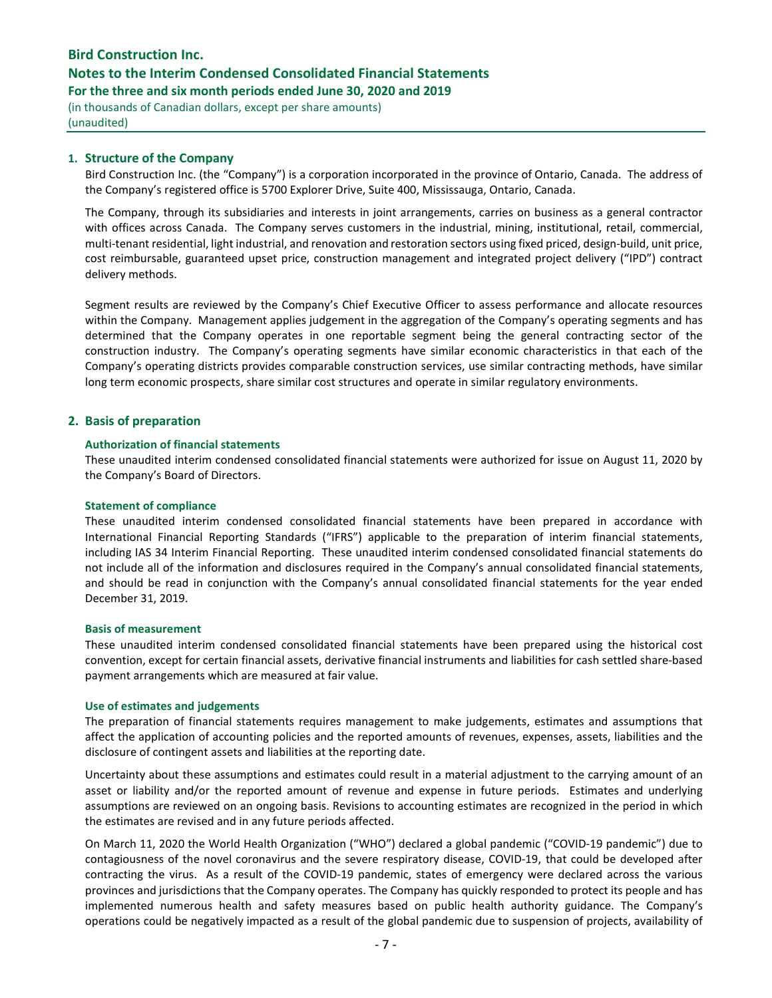## Notes to the Interim Condensed Consolidated Financial Statements

For the three and six month periods ended June 30, 2020 and 2019

(in thousands of Canadian dollars, except per share amounts) (unaudited)

### 1. Structure of the Company

Bird Construction Inc. (the "Company") is a corporation incorporated in the province of Ontario, Canada. The address of the Company's registered office is 5700 Explorer Drive, Suite 400, Mississauga, Ontario, Canada.

The Company, through its subsidiaries and interests in joint arrangements, carries on business as a general contractor with offices across Canada. The Company serves customers in the industrial, mining, institutional, retail, commercial, multi-tenant residential, light industrial, and renovation and restoration sectors using fixed priced, design-build, unit price, cost reimbursable, guaranteed upset price, construction management and integrated project delivery ("IPD") contract delivery methods.

Segment results are reviewed by the Company's Chief Executive Officer to assess performance and allocate resources within the Company. Management applies judgement in the aggregation of the Company's operating segments and has determined that the Company operates in one reportable segment being the general contracting sector of the construction industry. The Company's operating segments have similar economic characteristics in that each of the Company's operating districts provides comparable construction services, use similar contracting methods, have similar long term economic prospects, share similar cost structures and operate in similar regulatory environments.

#### 2. Basis of preparation

#### Authorization of financial statements

These unaudited interim condensed consolidated financial statements were authorized for issue on August 11, 2020 by the Company's Board of Directors.

#### Statement of compliance

These unaudited interim condensed consolidated financial statements have been prepared in accordance with International Financial Reporting Standards ("IFRS") applicable to the preparation of interim financial statements, including IAS 34 Interim Financial Reporting. These unaudited interim condensed consolidated financial statements do not include all of the information and disclosures required in the Company's annual consolidated financial statements, and should be read in conjunction with the Company's annual consolidated financial statements for the year ended December 31, 2019.

#### Basis of measurement

These unaudited interim condensed consolidated financial statements have been prepared using the historical cost convention, except for certain financial assets, derivative financial instruments and liabilities for cash settled share-based payment arrangements which are measured at fair value.

#### Use of estimates and judgements

The preparation of financial statements requires management to make judgements, estimates and assumptions that affect the application of accounting policies and the reported amounts of revenues, expenses, assets, liabilities and the disclosure of contingent assets and liabilities at the reporting date.

Uncertainty about these assumptions and estimates could result in a material adjustment to the carrying amount of an asset or liability and/or the reported amount of revenue and expense in future periods. Estimates and underlying assumptions are reviewed on an ongoing basis. Revisions to accounting estimates are recognized in the period in which the estimates are revised and in any future periods affected.

On March 11, 2020 the World Health Organization ("WHO") declared a global pandemic ("COVID-19 pandemic") due to contagiousness of the novel coronavirus and the severe respiratory disease, COVID-19, that could be developed after contracting the virus. As a result of the COVID-19 pandemic, states of emergency were declared across the various provinces and jurisdictions that the Company operates. The Company has quickly responded to protect its people and has implemented numerous health and safety measures based on public health authority guidance. The Company's operations could be negatively impacted as a result of the global pandemic due to suspension of projects, availability of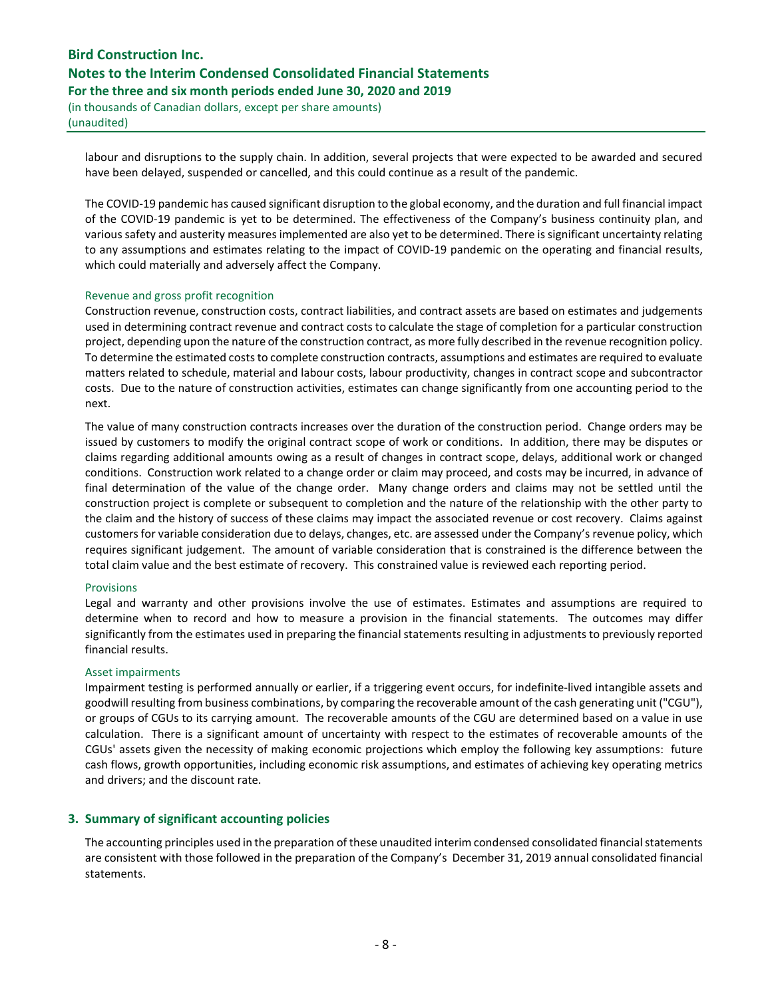(in thousands of Canadian dollars, except per share amounts) (unaudited)

labour and disruptions to the supply chain. In addition, several projects that were expected to be awarded and secured have been delayed, suspended or cancelled, and this could continue as a result of the pandemic.

The COVID-19 pandemic has caused significant disruption to the global economy, and the duration and full financial impact of the COVID-19 pandemic is yet to be determined. The effectiveness of the Company's business continuity plan, and various safety and austerity measures implemented are also yet to be determined. There is significant uncertainty relating to any assumptions and estimates relating to the impact of COVID-19 pandemic on the operating and financial results, which could materially and adversely affect the Company.

#### Revenue and gross profit recognition

Construction revenue, construction costs, contract liabilities, and contract assets are based on estimates and judgements used in determining contract revenue and contract costs to calculate the stage of completion for a particular construction project, depending upon the nature of the construction contract, as more fully described in the revenue recognition policy. To determine the estimated costs to complete construction contracts, assumptions and estimates are required to evaluate matters related to schedule, material and labour costs, labour productivity, changes in contract scope and subcontractor costs. Due to the nature of construction activities, estimates can change significantly from one accounting period to the next.

The value of many construction contracts increases over the duration of the construction period. Change orders may be issued by customers to modify the original contract scope of work or conditions. In addition, there may be disputes or claims regarding additional amounts owing as a result of changes in contract scope, delays, additional work or changed conditions. Construction work related to a change order or claim may proceed, and costs may be incurred, in advance of final determination of the value of the change order. Many change orders and claims may not be settled until the construction project is complete or subsequent to completion and the nature of the relationship with the other party to the claim and the history of success of these claims may impact the associated revenue or cost recovery. Claims against customers for variable consideration due to delays, changes, etc. are assessed under the Company's revenue policy, which requires significant judgement. The amount of variable consideration that is constrained is the difference between the total claim value and the best estimate of recovery. This constrained value is reviewed each reporting period.

#### Provisions

Legal and warranty and other provisions involve the use of estimates. Estimates and assumptions are required to determine when to record and how to measure a provision in the financial statements. The outcomes may differ significantly from the estimates used in preparing the financial statements resulting in adjustments to previously reported financial results.

#### Asset impairments

Impairment testing is performed annually or earlier, if a triggering event occurs, for indefinite-lived intangible assets and goodwill resulting from business combinations, by comparing the recoverable amount of the cash generating unit ("CGU"), or groups of CGUs to its carrying amount. The recoverable amounts of the CGU are determined based on a value in use calculation. There is a significant amount of uncertainty with respect to the estimates of recoverable amounts of the CGUs' assets given the necessity of making economic projections which employ the following key assumptions: future cash flows, growth opportunities, including economic risk assumptions, and estimates of achieving key operating metrics and drivers; and the discount rate.

### 3. Summary of significant accounting policies

The accounting principles used in the preparation of these unaudited interim condensed consolidated financial statements are consistent with those followed in the preparation of the Company's December 31, 2019 annual consolidated financial statements.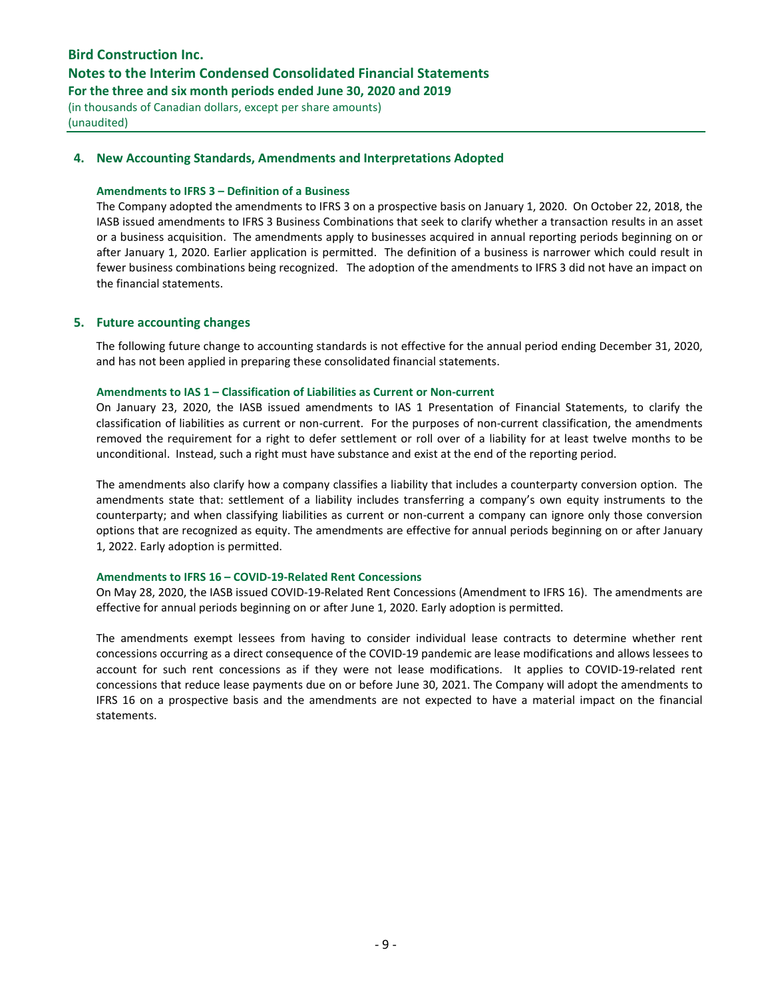## Notes to the Interim Condensed Consolidated Financial Statements

For the three and six month periods ended June 30, 2020 and 2019

(in thousands of Canadian dollars, except per share amounts) (unaudited)

## 4. New Accounting Standards, Amendments and Interpretations Adopted

#### Amendments to IFRS 3 – Definition of a Business

The Company adopted the amendments to IFRS 3 on a prospective basis on January 1, 2020. On October 22, 2018, the IASB issued amendments to IFRS 3 Business Combinations that seek to clarify whether a transaction results in an asset or a business acquisition. The amendments apply to businesses acquired in annual reporting periods beginning on or after January 1, 2020. Earlier application is permitted. The definition of a business is narrower which could result in fewer business combinations being recognized. The adoption of the amendments to IFRS 3 did not have an impact on the financial statements.

### 5. Future accounting changes

The following future change to accounting standards is not effective for the annual period ending December 31, 2020, and has not been applied in preparing these consolidated financial statements.

#### Amendments to IAS 1 – Classification of Liabilities as Current or Non-current

On January 23, 2020, the IASB issued amendments to IAS 1 Presentation of Financial Statements, to clarify the classification of liabilities as current or non-current. For the purposes of non-current classification, the amendments removed the requirement for a right to defer settlement or roll over of a liability for at least twelve months to be unconditional. Instead, such a right must have substance and exist at the end of the reporting period.

The amendments also clarify how a company classifies a liability that includes a counterparty conversion option. The amendments state that: settlement of a liability includes transferring a company's own equity instruments to the counterparty; and when classifying liabilities as current or non-current a company can ignore only those conversion options that are recognized as equity. The amendments are effective for annual periods beginning on or after January 1, 2022. Early adoption is permitted.

### Amendments to IFRS 16 – COVID-19-Related Rent Concessions

On May 28, 2020, the IASB issued COVID-19-Related Rent Concessions (Amendment to IFRS 16). The amendments are effective for annual periods beginning on or after June 1, 2020. Early adoption is permitted.

The amendments exempt lessees from having to consider individual lease contracts to determine whether rent concessions occurring as a direct consequence of the COVID-19 pandemic are lease modifications and allows lessees to account for such rent concessions as if they were not lease modifications. It applies to COVID-19-related rent concessions that reduce lease payments due on or before June 30, 2021. The Company will adopt the amendments to IFRS 16 on a prospective basis and the amendments are not expected to have a material impact on the financial statements.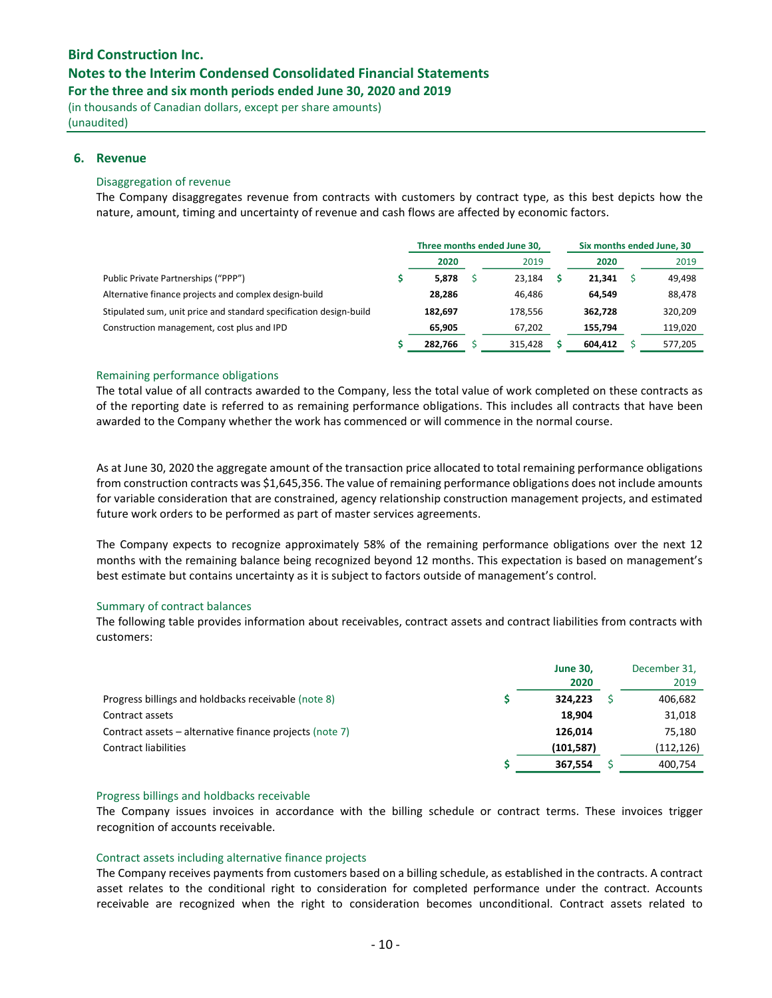## Notes to the Interim Condensed Consolidated Financial Statements

For the three and six month periods ended June 30, 2020 and 2019

(in thousands of Canadian dollars, except per share amounts) (unaudited)

### 6. Revenue

#### Disaggregation of revenue

The Company disaggregates revenue from contracts with customers by contract type, as this best depicts how the nature, amount, timing and uncertainty of revenue and cash flows are affected by economic factors.

|                                                                    | Three months ended June 30, |  |         | Six months ended June, 30 |  |         |
|--------------------------------------------------------------------|-----------------------------|--|---------|---------------------------|--|---------|
|                                                                    | 2020                        |  | 2019    | 2020                      |  | 2019    |
| Public Private Partnerships ("PPP")                                | 5,878                       |  | 23,184  | 21,341                    |  | 49,498  |
| Alternative finance projects and complex design-build              | 28,286                      |  | 46.486  | 64.549                    |  | 88,478  |
| Stipulated sum, unit price and standard specification design-build | 182.697                     |  | 178.556 | 362.728                   |  | 320,209 |
| Construction management, cost plus and IPD                         | 65,905                      |  | 67,202  | 155.794                   |  | 119,020 |
|                                                                    | 282,766                     |  | 315,428 | 604,412                   |  | 577,205 |

#### Remaining performance obligations

The total value of all contracts awarded to the Company, less the total value of work completed on these contracts as of the reporting date is referred to as remaining performance obligations. This includes all contracts that have been awarded to the Company whether the work has commenced or will commence in the normal course.

As at June 30, 2020 the aggregate amount of the transaction price allocated to total remaining performance obligations from construction contracts was \$1,645,356. The value of remaining performance obligations does not include amounts for variable consideration that are constrained, agency relationship construction management projects, and estimated future work orders to be performed as part of master services agreements.

The Company expects to recognize approximately 58% of the remaining performance obligations over the next 12 months with the remaining balance being recognized beyond 12 months. This expectation is based on management's best estimate but contains uncertainty as it is subject to factors outside of management's control.

### Summary of contract balances

The following table provides information about receivables, contract assets and contract liabilities from contracts with customers:

|                                                         | <b>June 30,</b><br>2020 | December 31,<br>2019 |
|---------------------------------------------------------|-------------------------|----------------------|
| Progress billings and holdbacks receivable (note 8)     | 324.223                 | 406,682              |
| Contract assets                                         | 18.904                  | 31,018               |
| Contract assets – alternative finance projects (note 7) | 126.014                 | 75,180               |
| <b>Contract liabilities</b>                             | (101, 587)              | (112, 126)           |
|                                                         | 367.554                 | 400.754              |

#### Progress billings and holdbacks receivable

The Company issues invoices in accordance with the billing schedule or contract terms. These invoices trigger recognition of accounts receivable.

#### Contract assets including alternative finance projects

The Company receives payments from customers based on a billing schedule, as established in the contracts. A contract asset relates to the conditional right to consideration for completed performance under the contract. Accounts receivable are recognized when the right to consideration becomes unconditional. Contract assets related to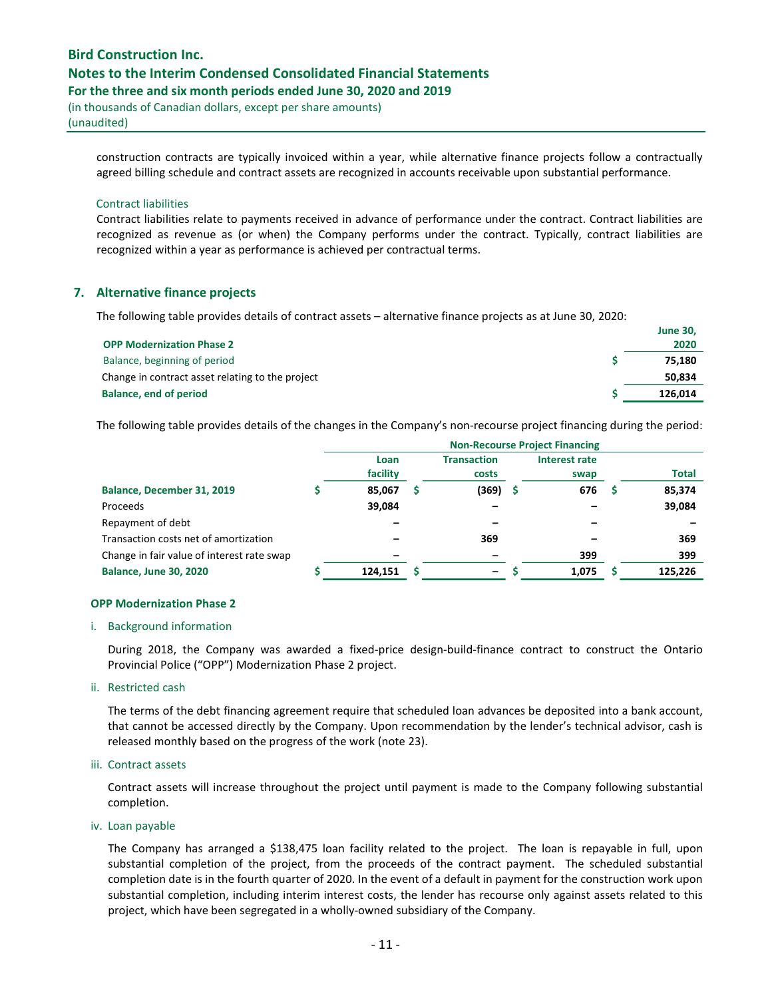(in thousands of Canadian dollars, except per share amounts) (unaudited)

construction contracts are typically invoiced within a year, while alternative finance projects follow a contractually agreed billing schedule and contract assets are recognized in accounts receivable upon substantial performance.

#### Contract liabilities

Contract liabilities relate to payments received in advance of performance under the contract. Contract liabilities are recognized as revenue as (or when) the Company performs under the contract. Typically, contract liabilities are recognized within a year as performance is achieved per contractual terms.

## 7. Alternative finance projects

The following table provides details of contract assets – alternative finance projects as at June 30, 2020:

|                                                  | <b>June 30,</b> |
|--------------------------------------------------|-----------------|
| <b>OPP Modernization Phase 2</b>                 | 2020            |
| Balance, beginning of period                     | 75.180          |
| Change in contract asset relating to the project | 50,834          |
| Balance, end of period                           | 126.014         |

The following table provides details of the changes in the Company's non-recourse project financing during the period:

|                                            | <b>Non-Recourse Project Financing</b> |  |                             |  |                       |   |              |  |  |
|--------------------------------------------|---------------------------------------|--|-----------------------------|--|-----------------------|---|--------------|--|--|
|                                            | Loan<br>facility                      |  | <b>Transaction</b><br>costs |  | Interest rate<br>swap |   | <b>Total</b> |  |  |
| Balance, December 31, 2019                 | 85,067                                |  | (369)                       |  | 676                   | s | 85,374       |  |  |
| Proceeds                                   | 39,084                                |  |                             |  |                       |   | 39,084       |  |  |
| Repayment of debt                          |                                       |  |                             |  |                       |   |              |  |  |
| Transaction costs net of amortization      |                                       |  | 369                         |  |                       |   | 369          |  |  |
| Change in fair value of interest rate swap |                                       |  |                             |  | 399                   |   | 399          |  |  |
| <b>Balance, June 30, 2020</b>              | 124.151                               |  | -                           |  | 1.075                 |   | 125.226      |  |  |

#### OPP Modernization Phase 2

#### i. Background information

During 2018, the Company was awarded a fixed-price design-build-finance contract to construct the Ontario Provincial Police ("OPP") Modernization Phase 2 project.

#### ii. Restricted cash

The terms of the debt financing agreement require that scheduled loan advances be deposited into a bank account, that cannot be accessed directly by the Company. Upon recommendation by the lender's technical advisor, cash is released monthly based on the progress of the work (note 23).

#### iii. Contract assets

Contract assets will increase throughout the project until payment is made to the Company following substantial completion.

#### iv. Loan payable

The Company has arranged a \$138,475 loan facility related to the project. The loan is repayable in full, upon substantial completion of the project, from the proceeds of the contract payment. The scheduled substantial completion date is in the fourth quarter of 2020. In the event of a default in payment for the construction work upon substantial completion, including interim interest costs, the lender has recourse only against assets related to this project, which have been segregated in a wholly-owned subsidiary of the Company.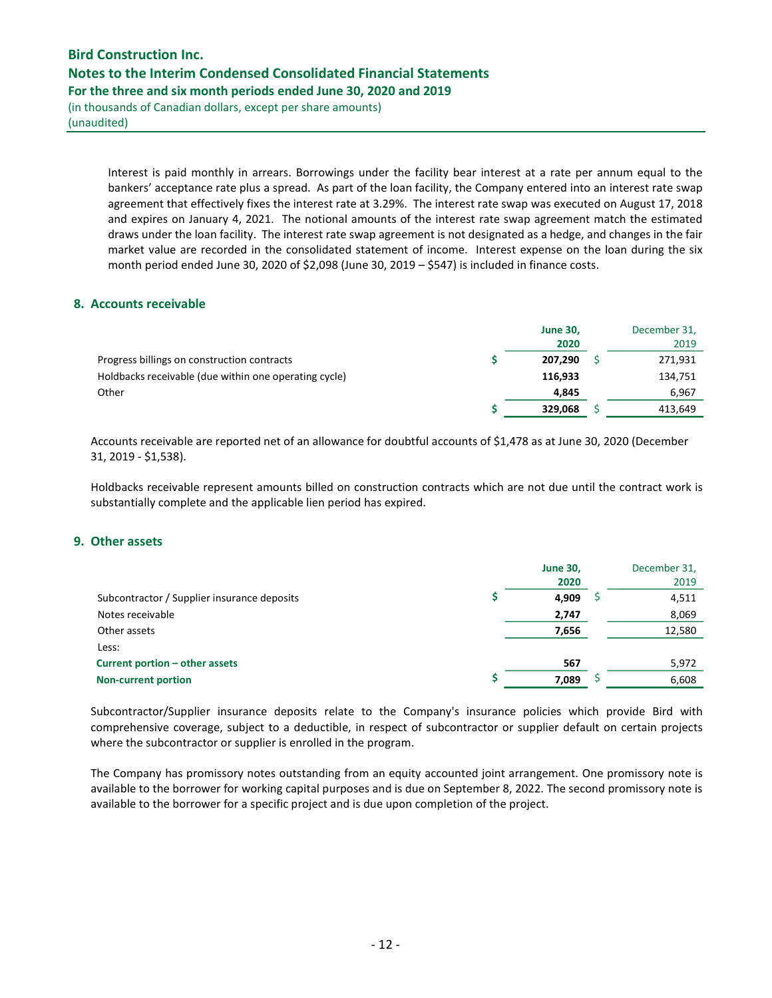(in thousands of Canadian dollars, except per share amounts) (unaudited)

> Interest is paid monthly in arrears. Borrowings under the facility bear interest at a rate per annum equal to the bankers' acceptance rate plus a spread. As part of the loan facility, the Company entered into an interest rate swap agreement that effectively fixes the interest rate at 3.29%. The interest rate swap was executed on August 17, 2018 and expires on January 4, 2021. The notional amounts of the interest rate swap agreement match the estimated draws under the loan facility. The interest rate swap agreement is not designated as a hedge, and changes in the fair market value are recorded in the consolidated statement of income. Interest expense on the loan during the six month period ended June 30, 2020 of \$2,098 (June 30, 2019 – \$547) is included in finance costs.

## 8. Accounts receivable

|                                                       | <b>June 30,</b><br>2020 | December 31,<br>2019 |
|-------------------------------------------------------|-------------------------|----------------------|
| Progress billings on construction contracts           | 207.290                 | 271,931              |
| Holdbacks receivable (due within one operating cycle) | 116.933                 | 134,751              |
| Other                                                 | 4.845                   | 6.967                |
|                                                       | 329.068                 | 413,649              |

Accounts receivable are reported net of an allowance for doubtful accounts of \$1,478 as at June 30, 2020 (December 31, 2019 - \$1,538).

Holdbacks receivable represent amounts billed on construction contracts which are not due until the contract work is substantially complete and the applicable lien period has expired.

## 9. Other assets

|                                             | <b>June 30,</b><br>2020 | December 31,<br>2019 |
|---------------------------------------------|-------------------------|----------------------|
| Subcontractor / Supplier insurance deposits | 4.909                   | 4,511                |
| Notes receivable                            | 2,747                   | 8,069                |
| Other assets                                | 7,656                   | 12,580               |
| Less:                                       |                         |                      |
| Current portion - other assets              | 567                     | 5,972                |
| <b>Non-current portion</b>                  | 7,089                   | 6,608                |

Subcontractor/Supplier insurance deposits relate to the Company's insurance policies which provide Bird with comprehensive coverage, subject to a deductible, in respect of subcontractor or supplier default on certain projects where the subcontractor or supplier is enrolled in the program.

The Company has promissory notes outstanding from an equity accounted joint arrangement. One promissory note is available to the borrower for working capital purposes and is due on September 8, 2022. The second promissory note is available to the borrower for a specific project and is due upon completion of the project.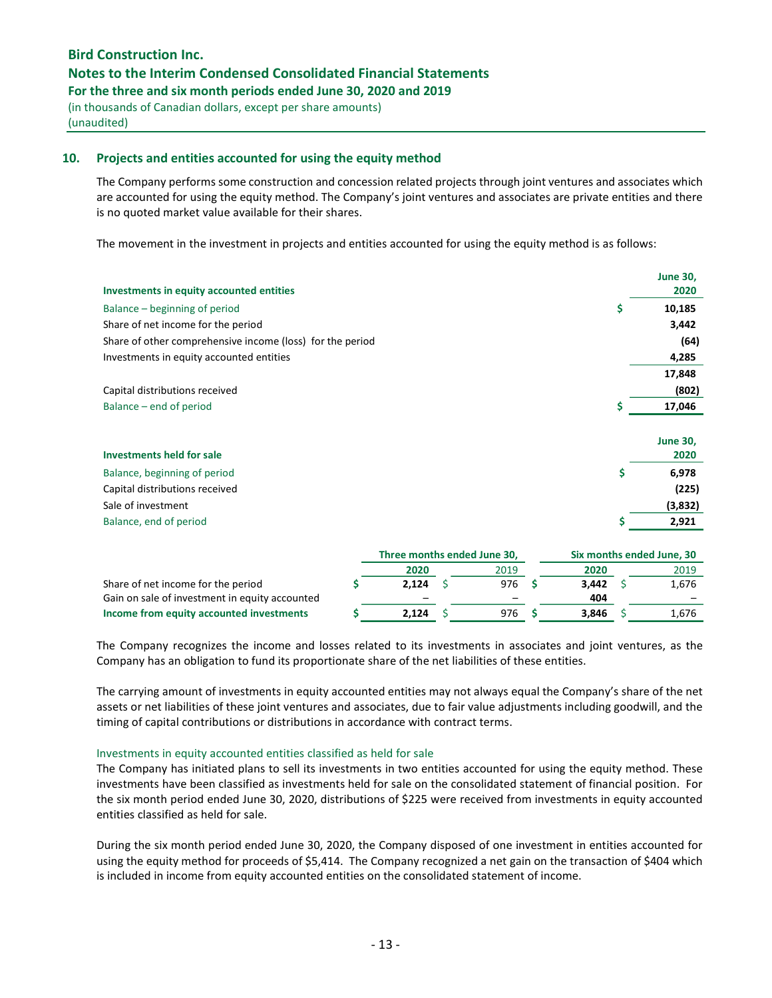## Notes to the Interim Condensed Consolidated Financial Statements

For the three and six month periods ended June 30, 2020 and 2019

(in thousands of Canadian dollars, except per share amounts) (unaudited)

## 10. Projects and entities accounted for using the equity method

The Company performs some construction and concession related projects through joint ventures and associates which are accounted for using the equity method. The Company's joint ventures and associates are private entities and there is no quoted market value available for their shares.

The movement in the investment in projects and entities accounted for using the equity method is as follows:

| 2020<br>Investments in equity accounted entities<br>\$<br>10,185<br>Balance – beginning of period<br>Share of net income for the period<br>3,442<br>(64)<br>Share of other comprehensive income (loss) for the period<br>Investments in equity accounted entities<br>4,285<br>17,848<br>(802)<br>Capital distributions received<br>\$<br>17,046<br>Balance – end of period<br><b>June 30,</b><br><b>Investments held for sale</b><br>2020<br>\$<br>6,978<br>Balance, beginning of period<br>(225)<br>Capital distributions received |                    | <b>June 30,</b> |
|-------------------------------------------------------------------------------------------------------------------------------------------------------------------------------------------------------------------------------------------------------------------------------------------------------------------------------------------------------------------------------------------------------------------------------------------------------------------------------------------------------------------------------------|--------------------|-----------------|
|                                                                                                                                                                                                                                                                                                                                                                                                                                                                                                                                     |                    |                 |
|                                                                                                                                                                                                                                                                                                                                                                                                                                                                                                                                     |                    |                 |
|                                                                                                                                                                                                                                                                                                                                                                                                                                                                                                                                     |                    |                 |
|                                                                                                                                                                                                                                                                                                                                                                                                                                                                                                                                     |                    |                 |
|                                                                                                                                                                                                                                                                                                                                                                                                                                                                                                                                     |                    |                 |
|                                                                                                                                                                                                                                                                                                                                                                                                                                                                                                                                     |                    |                 |
|                                                                                                                                                                                                                                                                                                                                                                                                                                                                                                                                     |                    |                 |
|                                                                                                                                                                                                                                                                                                                                                                                                                                                                                                                                     |                    |                 |
|                                                                                                                                                                                                                                                                                                                                                                                                                                                                                                                                     |                    |                 |
|                                                                                                                                                                                                                                                                                                                                                                                                                                                                                                                                     |                    |                 |
|                                                                                                                                                                                                                                                                                                                                                                                                                                                                                                                                     |                    |                 |
|                                                                                                                                                                                                                                                                                                                                                                                                                                                                                                                                     |                    |                 |
|                                                                                                                                                                                                                                                                                                                                                                                                                                                                                                                                     |                    |                 |
|                                                                                                                                                                                                                                                                                                                                                                                                                                                                                                                                     | Sale of investment | (3,832)         |
| \$<br>2,921<br>Balance, end of period                                                                                                                                                                                                                                                                                                                                                                                                                                                                                               |                    |                 |
|                                                                                                                                                                                                                                                                                                                                                                                                                                                                                                                                     |                    |                 |

|                                                | Three months ended June 30, |  |      |       | Six months ended June, 30 |       |
|------------------------------------------------|-----------------------------|--|------|-------|---------------------------|-------|
|                                                | 2020                        |  | 2019 | 2020  |                           | 2019  |
| Share of net income for the period             | 2.124                       |  | 976  | 3.442 |                           | 1,676 |
| Gain on sale of investment in equity accounted | $\overline{\phantom{0}}$    |  | -    | 404   |                           |       |
| Income from equity accounted investments       | 2,124                       |  | 976  | 3.846 |                           | 1,676 |

The Company recognizes the income and losses related to its investments in associates and joint ventures, as the Company has an obligation to fund its proportionate share of the net liabilities of these entities.

The carrying amount of investments in equity accounted entities may not always equal the Company's share of the net assets or net liabilities of these joint ventures and associates, due to fair value adjustments including goodwill, and the timing of capital contributions or distributions in accordance with contract terms.

#### Investments in equity accounted entities classified as held for sale

The Company has initiated plans to sell its investments in two entities accounted for using the equity method. These investments have been classified as investments held for sale on the consolidated statement of financial position. For the six month period ended June 30, 2020, distributions of \$225 were received from investments in equity accounted entities classified as held for sale.

During the six month period ended June 30, 2020, the Company disposed of one investment in entities accounted for using the equity method for proceeds of \$5,414. The Company recognized a net gain on the transaction of \$404 which is included in income from equity accounted entities on the consolidated statement of income.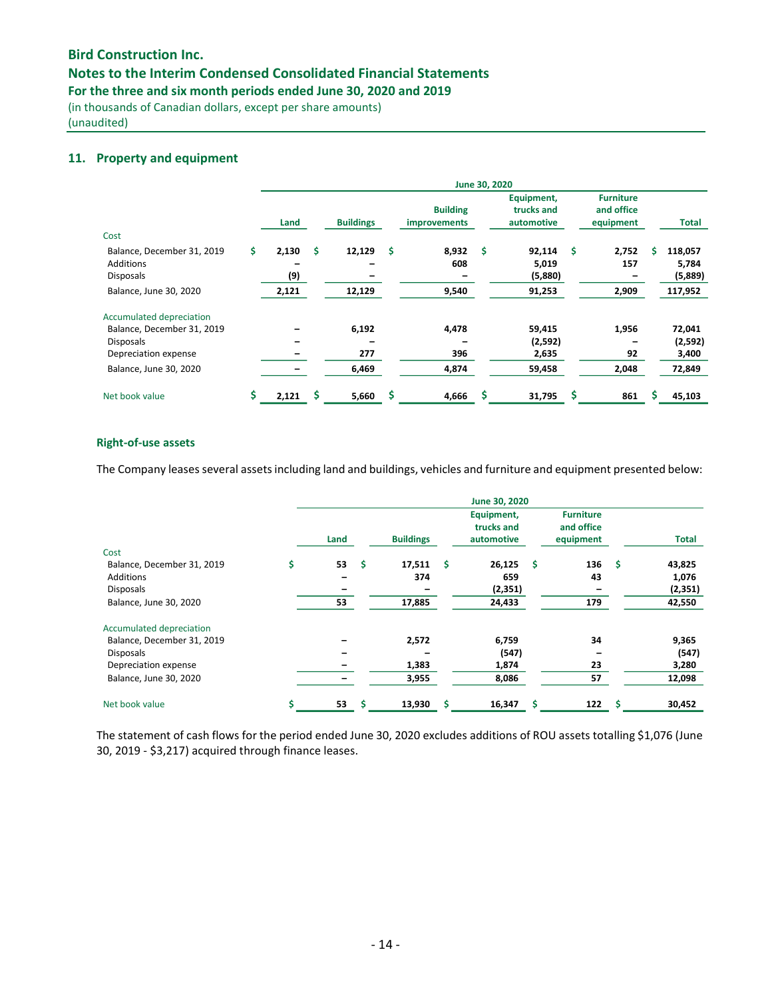# Notes to the Interim Condensed Consolidated Financial Statements

For the three and six month periods ended June 30, 2020 and 2019

(in thousands of Canadian dollars, except per share amounts) (unaudited)

## 11. Property and equipment

|                            |     |       |    |                  |                                 | June 30, 2020 |                                        |   |                                             |    |         |
|----------------------------|-----|-------|----|------------------|---------------------------------|---------------|----------------------------------------|---|---------------------------------------------|----|---------|
|                            |     | Land  |    | <b>Buildings</b> | <b>Building</b><br>improvements |               | Equipment,<br>trucks and<br>automotive |   | <b>Furniture</b><br>and office<br>equipment |    | Total   |
| Cost                       |     |       |    |                  |                                 |               |                                        |   |                                             |    |         |
| Balance, December 31, 2019 | \$. | 2,130 | s. | 12,129           | \$<br>8,932                     | Ś             | 92,114                                 | Ś | 2,752                                       | s. | 118,057 |
| Additions                  |     |       |    |                  | 608                             |               | 5,019                                  |   | 157                                         |    | 5,784   |
| <b>Disposals</b>           |     | (9)   |    |                  |                                 |               | (5,880)                                |   |                                             |    | (5,889) |
| Balance, June 30, 2020     |     | 2,121 |    | 12,129           | 9,540                           |               | 91,253                                 |   | 2,909                                       |    | 117,952 |
| Accumulated depreciation   |     |       |    |                  |                                 |               |                                        |   |                                             |    |         |
| Balance, December 31, 2019 |     |       |    | 6,192            | 4,478                           |               | 59,415                                 |   | 1,956                                       |    | 72,041  |
| <b>Disposals</b>           |     |       |    |                  |                                 |               | (2,592)                                |   |                                             |    | (2,592) |
| Depreciation expense       |     |       |    | 277              | 396                             |               | 2,635                                  |   | 92                                          |    | 3,400   |
| Balance, June 30, 2020     |     |       |    | 6,469            | 4,874                           |               | 59,458                                 |   | 2,048                                       |    | 72,849  |
| Net book value             |     | 2,121 |    | 5,660            | \$<br>4,666                     |               | 31,795                                 |   | 861                                         |    | 45,103  |

#### Right-of-use assets

The Company leases several assets including land and buildings, vehicles and furniture and equipment presented below:

|                                    |          |     |                  |   | June 30, 2020                          |     |                                             |      |          |
|------------------------------------|----------|-----|------------------|---|----------------------------------------|-----|---------------------------------------------|------|----------|
|                                    | Land     |     | <b>Buildings</b> |   | Equipment,<br>trucks and<br>automotive |     | <b>Furniture</b><br>and office<br>equipment |      | Total    |
| Cost<br>Balance, December 31, 2019 | \$<br>53 | -\$ | 17,511           | s | 26,125                                 | .\$ | 136                                         | - \$ | 43,825   |
| <b>Additions</b>                   |          |     | 374              |   | 659                                    |     | 43                                          |      | 1,076    |
| <b>Disposals</b>                   |          |     |                  |   | (2, 351)                               |     |                                             |      | (2, 351) |
| Balance, June 30, 2020             | 53       |     | 17,885           |   | 24,433                                 |     | 179                                         |      | 42,550   |
| Accumulated depreciation           |          |     |                  |   |                                        |     |                                             |      |          |
| Balance, December 31, 2019         |          |     | 2,572            |   | 6,759                                  |     | 34                                          |      | 9,365    |
| <b>Disposals</b>                   |          |     |                  |   | (547)                                  |     |                                             |      | (547)    |
| Depreciation expense               |          |     | 1,383            |   | 1,874                                  |     | 23                                          |      | 3,280    |
| Balance, June 30, 2020             |          |     | 3,955            |   | 8,086                                  |     | 57                                          |      | 12,098   |
| Net book value                     | 53       | S   | 13,930           |   | 16,347                                 | Ś   | 122                                         | Ŝ    | 30,452   |

The statement of cash flows for the period ended June 30, 2020 excludes additions of ROU assets totalling \$1,076 (June 30, 2019 - \$3,217) acquired through finance leases.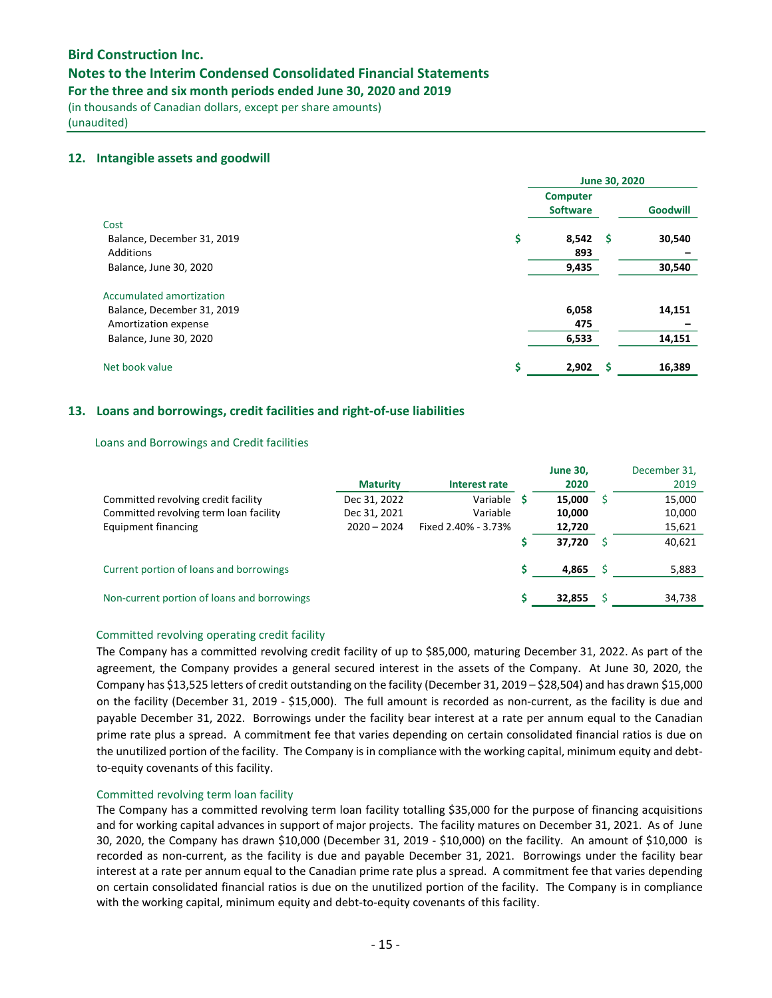## Notes to the Interim Condensed Consolidated Financial Statements

For the three and six month periods ended June 30, 2020 and 2019

(in thousands of Canadian dollars, except per share amounts) (unaudited)

### 12. Intangible assets and goodwill

|                                                                                | June 30, 2020                      |    |                 |  |
|--------------------------------------------------------------------------------|------------------------------------|----|-----------------|--|
|                                                                                | <b>Computer</b><br><b>Software</b> |    | <b>Goodwill</b> |  |
| Cost<br>Balance, December 31, 2019<br>Additions                                | \$<br>8,542<br>893                 | -S | 30,540          |  |
| Balance, June 30, 2020                                                         | 9,435                              |    | 30,540          |  |
| Accumulated amortization<br>Balance, December 31, 2019<br>Amortization expense | 6,058<br>475                       |    | 14,151          |  |
| Balance, June 30, 2020                                                         | 6,533                              |    | 14,151          |  |
| Net book value                                                                 | \$<br>2,902                        | -S | 16,389          |  |

## 13. Loans and borrowings, credit facilities and right-of-use liabilities

### Loans and Borrowings and Credit facilities

|                                             | <b>Maturity</b> | Interest rate       | <b>June 30,</b><br>2020 | December 31,<br>2019 |
|---------------------------------------------|-----------------|---------------------|-------------------------|----------------------|
| Committed revolving credit facility         | Dec 31, 2022    | Variable <b>S</b>   | 15.000                  | 15,000               |
| Committed revolving term loan facility      | Dec 31, 2021    | Variable            | 10,000                  | 10,000               |
| Equipment financing                         | $2020 - 2024$   | Fixed 2.40% - 3.73% | 12,720                  | 15,621               |
|                                             |                 |                     | 37,720                  | 40,621               |
| Current portion of loans and borrowings     |                 |                     | 4,865                   | 5,883                |
| Non-current portion of loans and borrowings |                 |                     | 32,855                  | 34,738               |

### Committed revolving operating credit facility

The Company has a committed revolving credit facility of up to \$85,000, maturing December 31, 2022. As part of the agreement, the Company provides a general secured interest in the assets of the Company. At June 30, 2020, the Company has \$13,525 letters of credit outstanding on the facility (December 31, 2019 – \$28,504) and has drawn \$15,000 on the facility (December 31, 2019 - \$15,000). The full amount is recorded as non-current, as the facility is due and payable December 31, 2022. Borrowings under the facility bear interest at a rate per annum equal to the Canadian prime rate plus a spread. A commitment fee that varies depending on certain consolidated financial ratios is due on the unutilized portion of the facility. The Company is in compliance with the working capital, minimum equity and debtto-equity covenants of this facility.

### Committed revolving term loan facility

The Company has a committed revolving term loan facility totalling \$35,000 for the purpose of financing acquisitions and for working capital advances in support of major projects. The facility matures on December 31, 2021. As of June 30, 2020, the Company has drawn \$10,000 (December 31, 2019 - \$10,000) on the facility. An amount of \$10,000 is recorded as non-current, as the facility is due and payable December 31, 2021. Borrowings under the facility bear interest at a rate per annum equal to the Canadian prime rate plus a spread. A commitment fee that varies depending on certain consolidated financial ratios is due on the unutilized portion of the facility. The Company is in compliance with the working capital, minimum equity and debt-to-equity covenants of this facility.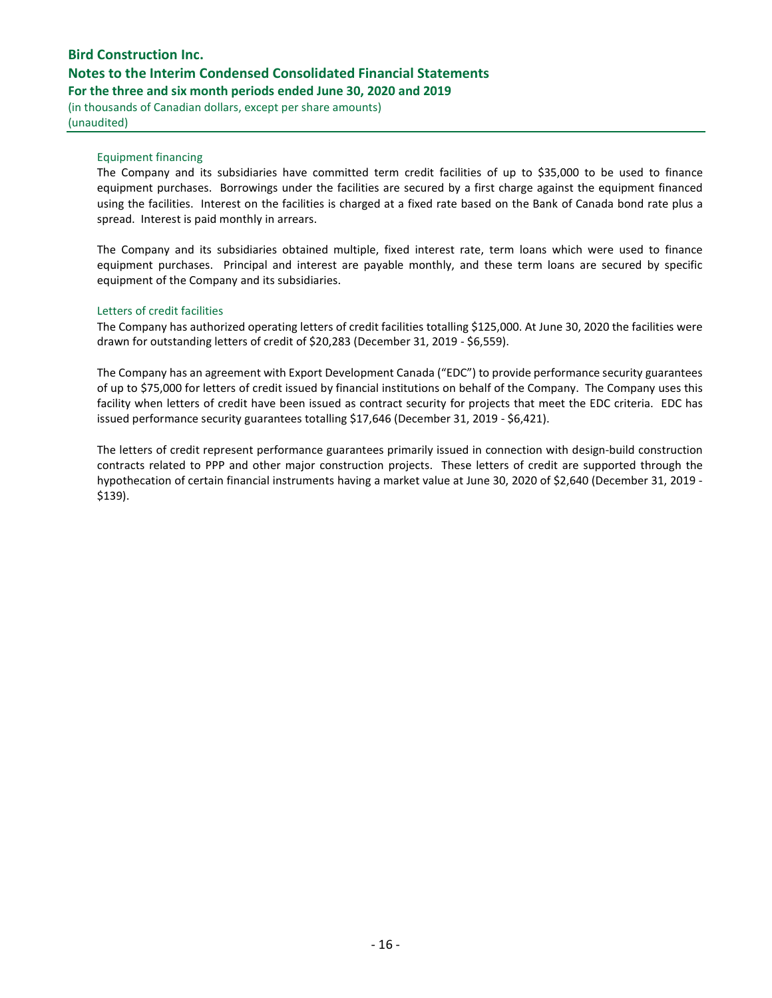(in thousands of Canadian dollars, except per share amounts) (unaudited)

## Equipment financing

The Company and its subsidiaries have committed term credit facilities of up to \$35,000 to be used to finance equipment purchases. Borrowings under the facilities are secured by a first charge against the equipment financed using the facilities. Interest on the facilities is charged at a fixed rate based on the Bank of Canada bond rate plus a spread. Interest is paid monthly in arrears.

The Company and its subsidiaries obtained multiple, fixed interest rate, term loans which were used to finance equipment purchases. Principal and interest are payable monthly, and these term loans are secured by specific equipment of the Company and its subsidiaries.

## Letters of credit facilities

The Company has authorized operating letters of credit facilities totalling \$125,000. At June 30, 2020 the facilities were drawn for outstanding letters of credit of \$20,283 (December 31, 2019 - \$6,559).

The Company has an agreement with Export Development Canada ("EDC") to provide performance security guarantees of up to \$75,000 for letters of credit issued by financial institutions on behalf of the Company. The Company uses this facility when letters of credit have been issued as contract security for projects that meet the EDC criteria. EDC has issued performance security guarantees totalling \$17,646 (December 31, 2019 - \$6,421).

The letters of credit represent performance guarantees primarily issued in connection with design-build construction contracts related to PPP and other major construction projects. These letters of credit are supported through the hypothecation of certain financial instruments having a market value at June 30, 2020 of \$2,640 (December 31, 2019 - \$139).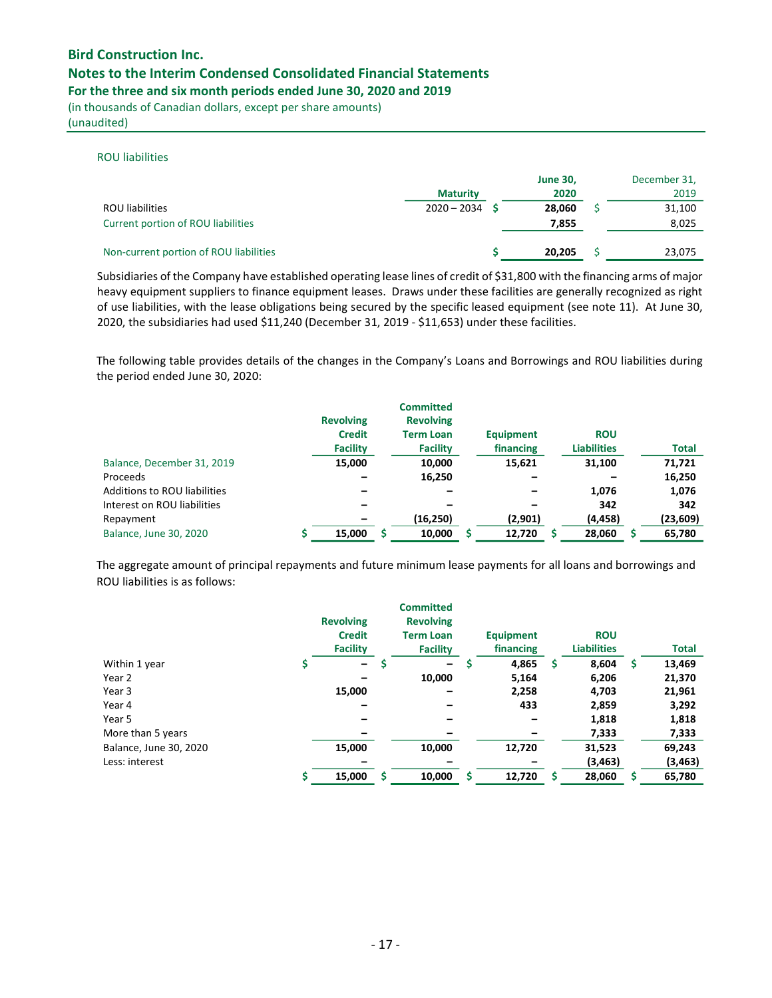## Notes to the Interim Condensed Consolidated Financial Statements

For the three and six month periods ended June 30, 2020 and 2019

(in thousands of Canadian dollars, except per share amounts) (unaudited)

#### ROU liabilities

|                                        | <b>Maturity</b> | <b>June 30,</b><br>2020 | December 31,<br>2019 |
|----------------------------------------|-----------------|-------------------------|----------------------|
| <b>ROU</b> liabilities                 | $2020 - 2034$   | 28.060                  | 31,100               |
| Current portion of ROU liabilities     |                 | 7,855                   | 8,025                |
| Non-current portion of ROU liabilities |                 | 20.205                  | 23,075               |

Subsidiaries of the Company have established operating lease lines of credit of \$31,800 with the financing arms of major heavy equipment suppliers to finance equipment leases. Draws under these facilities are generally recognized as right of use liabilities, with the lease obligations being secured by the specific leased equipment (see note 11). At June 30, 2020, the subsidiaries had used \$11,240 (December 31, 2019 - \$11,653) under these facilities.

The following table provides details of the changes in the Company's Loans and Borrowings and ROU liabilities during the period ended June 30, 2020:

|                                     | <b>Revolving</b><br><b>Credit</b> | <b>Committed</b><br><b>Revolving</b><br><b>Term Loan</b> | <b>Equipment</b> | <b>ROU</b>         |              |
|-------------------------------------|-----------------------------------|----------------------------------------------------------|------------------|--------------------|--------------|
|                                     | <b>Facility</b>                   | <b>Facility</b>                                          | financing        | <b>Liabilities</b> | <b>Total</b> |
| Balance, December 31, 2019          | 15,000                            | 10,000                                                   | 15,621           | 31.100             | 71,721       |
| Proceeds                            |                                   | 16,250                                                   |                  |                    | 16,250       |
| <b>Additions to ROU liabilities</b> |                                   |                                                          |                  | 1,076              | 1,076        |
| Interest on ROU liabilities         |                                   |                                                          |                  | 342                | 342          |
| Repayment                           |                                   | (16, 250)                                                | (2,901)          | (4, 458)           | (23, 609)    |
| Balance, June 30, 2020              | 15,000                            | 10,000                                                   | 12,720           | 28,060             | 65,780       |

The aggregate amount of principal repayments and future minimum lease payments for all loans and borrowings and ROU liabilities is as follows:

|                        | <b>Revolving</b><br><b>Credit</b><br><b>Facility</b> | <b>Committed</b><br><b>Revolving</b><br><b>Term Loan</b><br><b>Facility</b> |   | <b>Equipment</b><br>financing | <b>ROU</b><br><b>Liabilities</b> |   | <b>Total</b> |
|------------------------|------------------------------------------------------|-----------------------------------------------------------------------------|---|-------------------------------|----------------------------------|---|--------------|
| Within 1 year          | $\qquad \qquad -$                                    | -                                                                           | S | 4,865                         | \$<br>8,604                      | S | 13,469       |
| Year 2                 |                                                      | 10,000                                                                      |   | 5,164                         | 6,206                            |   | 21,370       |
| Year 3                 | 15,000                                               | -                                                                           |   | 2,258                         | 4,703                            |   | 21,961       |
| Year 4                 |                                                      |                                                                             |   | 433                           | 2,859                            |   | 3,292        |
| Year 5                 |                                                      |                                                                             |   |                               | 1,818                            |   | 1,818        |
| More than 5 years      |                                                      |                                                                             |   |                               | 7,333                            |   | 7,333        |
| Balance, June 30, 2020 | 15,000                                               | 10,000                                                                      |   | 12,720                        | 31,523                           |   | 69,243       |
| Less: interest         |                                                      |                                                                             |   |                               | (3, 463)                         |   | (3, 463)     |
|                        | 15,000                                               | 10,000                                                                      |   | 12,720                        | 28,060                           |   | 65,780       |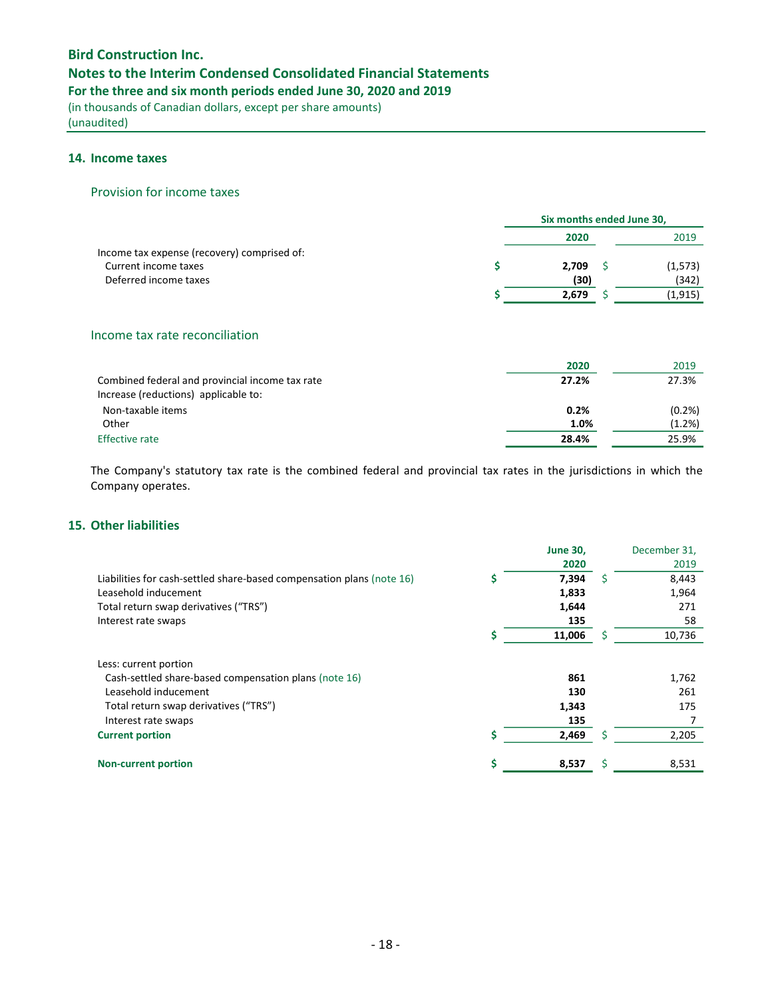# Notes to the Interim Condensed Consolidated Financial Statements

For the three and six month periods ended June 30, 2020 and 2019

(in thousands of Canadian dollars, except per share amounts) (unaudited)

## 14. Income taxes

#### Provision for income taxes

|                                             |       | Six months ended June 30, |          |  |  |
|---------------------------------------------|-------|---------------------------|----------|--|--|
|                                             | 2020  |                           | 2019     |  |  |
| Income tax expense (recovery) comprised of: |       |                           |          |  |  |
| Current income taxes                        | 2.709 |                           | (1, 573) |  |  |
| Deferred income taxes                       | (30)  |                           | (342)    |  |  |
|                                             | 2,679 |                           | (1,915)  |  |  |

# Income tax rate reconciliation

|                                                 | 2020  | 2019   |
|-------------------------------------------------|-------|--------|
| Combined federal and provincial income tax rate | 27.2% | 27.3%  |
| Increase (reductions) applicable to:            |       |        |
| Non-taxable items                               | 0.2%  | (0.2%  |
| Other                                           | 1.0%  | (1.2%) |
| <b>Effective rate</b>                           | 28.4% | 25.9%  |

The Company's statutory tax rate is the combined federal and provincial tax rates in the jurisdictions in which the Company operates.

# 15. Other liabilities

|                                                                       | <b>June 30,</b> |   | December 31, |
|-----------------------------------------------------------------------|-----------------|---|--------------|
|                                                                       | 2020            |   | 2019         |
| Liabilities for cash-settled share-based compensation plans (note 16) | 7,394           | S | 8,443        |
| Leasehold inducement                                                  | 1,833           |   | 1,964        |
| Total return swap derivatives ("TRS")                                 | 1,644           |   | 271          |
| Interest rate swaps                                                   | 135             |   | 58           |
|                                                                       | 11,006          |   | 10,736       |
| Less: current portion                                                 |                 |   |              |
| Cash-settled share-based compensation plans (note 16)                 | 861             |   | 1,762        |
| Leasehold inducement                                                  | 130             |   | 261          |
| Total return swap derivatives ("TRS")                                 | 1,343           |   | 175          |
| Interest rate swaps                                                   | 135             |   |              |
| <b>Current portion</b>                                                | 2,469           |   | 2,205        |
| <b>Non-current portion</b>                                            | 8,537           |   | 8,531        |
|                                                                       |                 |   |              |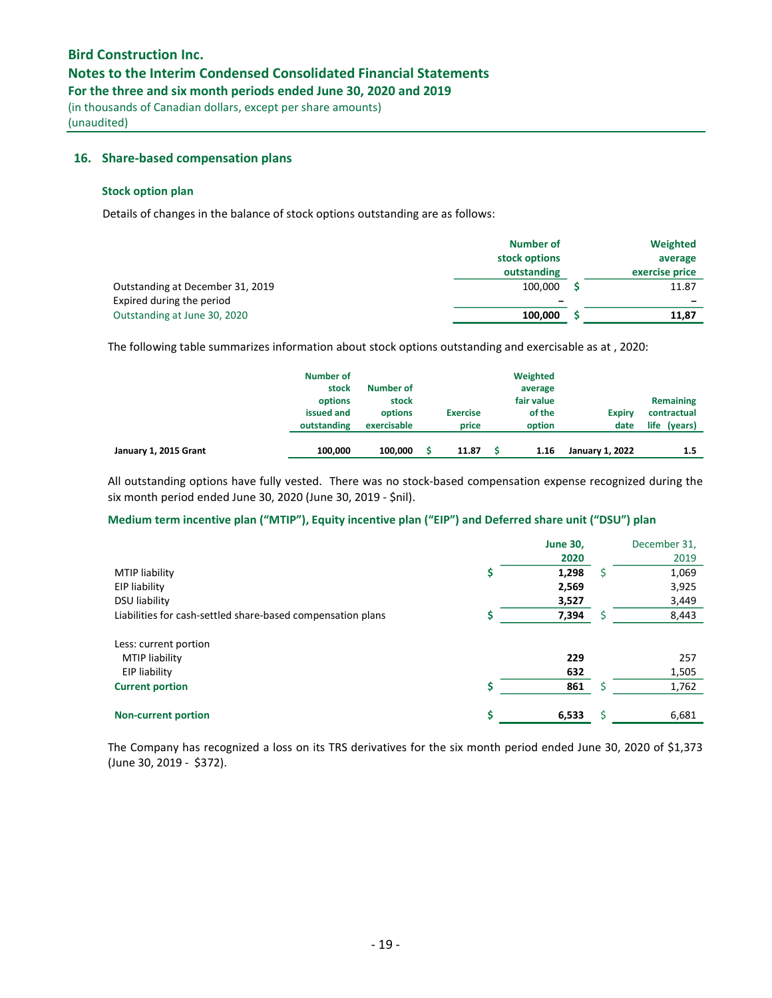## Notes to the Interim Condensed Consolidated Financial Statements

For the three and six month periods ended June 30, 2020 and 2019

(in thousands of Canadian dollars, except per share amounts) (unaudited)

#### 16. Share-based compensation plans

#### Stock option plan

Details of changes in the balance of stock options outstanding are as follows:

|                                  | <b>Number of</b> | Weighted                 |
|----------------------------------|------------------|--------------------------|
|                                  | stock options    | average                  |
|                                  | outstanding      | exercise price           |
| Outstanding at December 31, 2019 | 100.000          | 11.87                    |
| Expired during the period        | -                | $\overline{\phantom{0}}$ |
| Outstanding at June 30, 2020     | 100.000          | 11,87                    |

The following table summarizes information about stock options outstanding and exercisable as at , 2020:

|                       | Number of<br>stock<br>options<br>issued and<br>outstanding | Number of<br>stock<br>options<br>exercisable | <b>Exercise</b><br>price | Weighted<br>average<br>fair value<br>of the<br>option | <b>Expiry</b><br>date  | Remaining<br>contractual<br>life (years) |
|-----------------------|------------------------------------------------------------|----------------------------------------------|--------------------------|-------------------------------------------------------|------------------------|------------------------------------------|
| January 1, 2015 Grant | 100.000                                                    | 100.000                                      | 11.87                    | 1.16                                                  | <b>January 1, 2022</b> | 1.5                                      |

All outstanding options have fully vested. There was no stock-based compensation expense recognized during the six month period ended June 30, 2020 (June 30, 2019 - \$nil).

## Medium term incentive plan ("MTIP"), Equity incentive plan ("EIP") and Deferred share unit ("DSU") plan

|                                                             |    | <b>June 30,</b> |    | December 31, |
|-------------------------------------------------------------|----|-----------------|----|--------------|
|                                                             |    | 2020            |    | 2019         |
| <b>MTIP liability</b>                                       | \$ | 1,298           | \$ | 1,069        |
| EIP liability                                               |    | 2,569           |    | 3,925        |
| <b>DSU liability</b>                                        |    | 3,527           |    | 3,449        |
| Liabilities for cash-settled share-based compensation plans |    | 7,394           | S  | 8,443        |
| Less: current portion                                       |    |                 |    |              |
| <b>MTIP liability</b>                                       |    | 229             |    | 257          |
| EIP liability                                               |    | 632             |    | 1,505        |
| <b>Current portion</b>                                      | Ś  | 861             | Ś  | 1,762        |
| <b>Non-current portion</b>                                  | \$ | 6,533           | Ś  | 6,681        |

The Company has recognized a loss on its TRS derivatives for the six month period ended June 30, 2020 of \$1,373 (June 30, 2019 - \$372).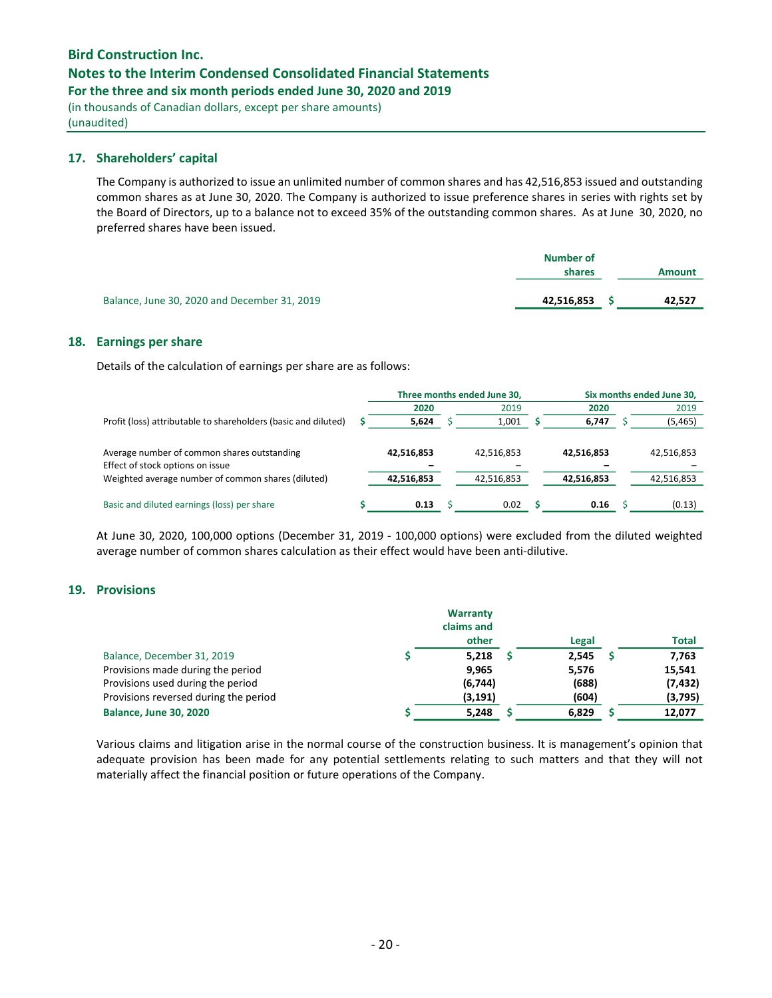# Notes to the Interim Condensed Consolidated Financial Statements

For the three and six month periods ended June 30, 2020 and 2019

(in thousands of Canadian dollars, except per share amounts) (unaudited)

## 17. Shareholders' capital

The Company is authorized to issue an unlimited number of common shares and has 42,516,853 issued and outstanding common shares as at June 30, 2020. The Company is authorized to issue preference shares in series with rights set by the Board of Directors, up to a balance not to exceed 35% of the outstanding common shares. As at June 30, 2020, no preferred shares have been issued.

|                                              | <b>Number of</b><br>shares | <b>Amount</b> |
|----------------------------------------------|----------------------------|---------------|
| Balance, June 30, 2020 and December 31, 2019 | 42,516,853                 | 42,527        |

### 18. Earnings per share

Details of the calculation of earnings per share are as follows:

|                                                                                                                                       |                          | Three months ended June 30, |                          | Six months ended June 30, |                          |
|---------------------------------------------------------------------------------------------------------------------------------------|--------------------------|-----------------------------|--------------------------|---------------------------|--------------------------|
|                                                                                                                                       | 2020                     |                             | 2019                     | 2020                      | 2019                     |
| Profit (loss) attributable to shareholders (basic and diluted)                                                                        | 5,624                    |                             | 1.001                    | 6,747                     | (5, 465)                 |
| Average number of common shares outstanding<br>Effect of stock options on issue<br>Weighted average number of common shares (diluted) | 42,516,853<br>42,516,853 |                             | 42,516,853<br>42,516,853 | 42,516,853<br>42,516,853  | 42,516,853<br>42,516,853 |
| Basic and diluted earnings (loss) per share                                                                                           | 0.13                     |                             | 0.02                     | 0.16                      | (0.13)                   |

At June 30, 2020, 100,000 options (December 31, 2019 - 100,000 options) were excluded from the diluted weighted average number of common shares calculation as their effect would have been anti-dilutive.

## 19. Provisions

|                                       | Warranty<br>claims and |       |              |
|---------------------------------------|------------------------|-------|--------------|
|                                       | other                  | Legal | <b>Total</b> |
| Balance, December 31, 2019            | 5,218                  | 2,545 | 7,763        |
| Provisions made during the period     | 9,965                  | 5,576 | 15,541       |
| Provisions used during the period     | (6,744)                | (688) | (7, 432)     |
| Provisions reversed during the period | (3, 191)               | (604) | (3,795)      |
| <b>Balance, June 30, 2020</b>         | 5,248                  | 6,829 | 12,077       |

Various claims and litigation arise in the normal course of the construction business. It is management's opinion that adequate provision has been made for any potential settlements relating to such matters and that they will not materially affect the financial position or future operations of the Company.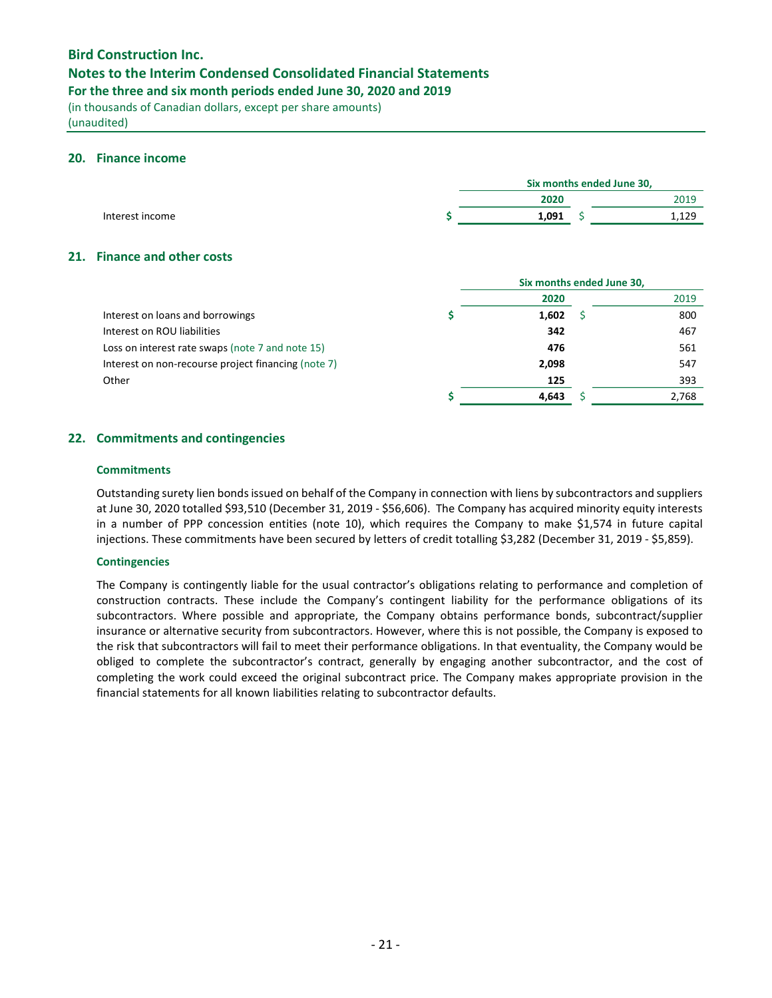## Notes to the Interim Condensed Consolidated Financial Statements

For the three and six month periods ended June 30, 2020 and 2019

(in thousands of Canadian dollars, except per share amounts) (unaudited)

### 20. Finance income

|                                                  |       | Six months ended June 30, |       |
|--------------------------------------------------|-------|---------------------------|-------|
|                                                  | 2020  |                           | 2019  |
| Interest income                                  | 1,091 | s                         | 1,129 |
| 21. Finance and other costs                      |       |                           |       |
|                                                  |       | Six months ended June 30, |       |
|                                                  | 2020  |                           | 2019  |
| Interest on loans and borrowings                 | 1,602 |                           | 800   |
| Interest on ROU liabilities                      | 342   |                           | 467   |
| Loss on interest rate swaps (note 7 and note 15) | 476   |                           | 561   |

Interest on non-recourse project financing (note 7) 2,098 2,098 547 Other 2006 **125** 393

## 22. Commitments and contingencies

#### **Commitments**

Outstanding surety lien bonds issued on behalf of the Company in connection with liens by subcontractors and suppliers at June 30, 2020 totalled \$93,510 (December 31, 2019 - \$56,606). The Company has acquired minority equity interests in a number of PPP concession entities (note 10), which requires the Company to make \$1,574 in future capital injections. These commitments have been secured by letters of credit totalling \$3,282 (December 31, 2019 - \$5,859).

 $\uparrow$  4,643  $\uparrow$  2,768

### Contingencies

The Company is contingently liable for the usual contractor's obligations relating to performance and completion of construction contracts. These include the Company's contingent liability for the performance obligations of its subcontractors. Where possible and appropriate, the Company obtains performance bonds, subcontract/supplier insurance or alternative security from subcontractors. However, where this is not possible, the Company is exposed to the risk that subcontractors will fail to meet their performance obligations. In that eventuality, the Company would be obliged to complete the subcontractor's contract, generally by engaging another subcontractor, and the cost of completing the work could exceed the original subcontract price. The Company makes appropriate provision in the financial statements for all known liabilities relating to subcontractor defaults.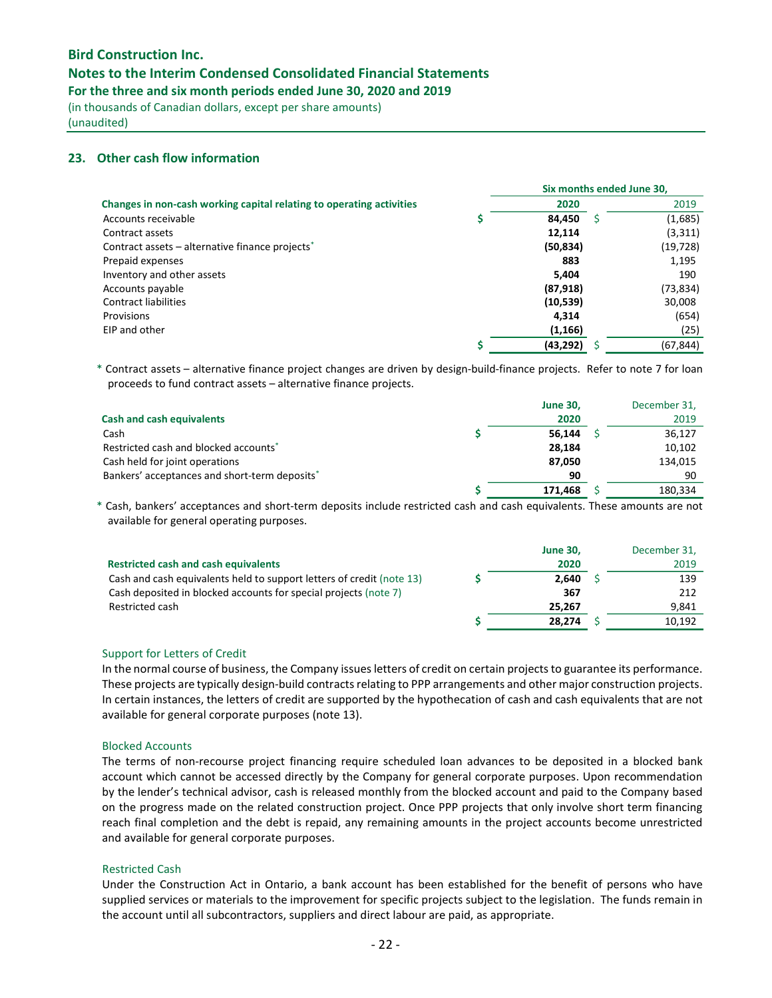## Notes to the Interim Condensed Consolidated Financial Statements

For the three and six month periods ended June 30, 2020 and 2019

(in thousands of Canadian dollars, except per share amounts) (unaudited)

## 23. Other cash flow information

|                                                                      |           |   | Six months ended June 30, |
|----------------------------------------------------------------------|-----------|---|---------------------------|
| Changes in non-cash working capital relating to operating activities | 2020      |   | 2019                      |
| Accounts receivable                                                  | 84.450    | S | (1,685)                   |
| Contract assets                                                      | 12,114    |   | (3, 311)                  |
| Contract assets – alternative finance projects <sup>*</sup>          | (50, 834) |   | (19,728)                  |
| Prepaid expenses                                                     | 883       |   | 1,195                     |
| Inventory and other assets                                           | 5.404     |   | 190                       |
| Accounts payable                                                     | (87, 918) |   | (73,834)                  |
| <b>Contract liabilities</b>                                          | (10,539)  |   | 30,008                    |
| Provisions                                                           | 4.314     |   | (654)                     |
| EIP and other                                                        | (1, 166)  |   | (25)                      |
|                                                                      | (43,292)  |   | (67, 844)                 |

\* Contract assets – alternative finance project changes are driven by design-build-finance projects. Refer to note 7 for loan proceeds to fund contract assets – alternative finance projects.

|                                               | <b>June 30,</b> | December 31, |
|-----------------------------------------------|-----------------|--------------|
| <b>Cash and cash equivalents</b>              | 2020            | 2019         |
| Cash                                          | 56.144          | 36,127       |
| Restricted cash and blocked accounts*         | 28.184          | 10,102       |
| Cash held for joint operations                | 87.050          | 134,015      |
| Bankers' acceptances and short-term deposits* | 90              | 90           |
|                                               | 171.468         | 180,334      |

\* Cash, bankers' acceptances and short-term deposits include restricted cash and cash equivalents. These amounts are not available for general operating purposes.

|                                                                       | <b>June 30.</b> | December 31, |
|-----------------------------------------------------------------------|-----------------|--------------|
| <b>Restricted cash and cash equivalents</b>                           | 2020            | 2019         |
| Cash and cash equivalents held to support letters of credit (note 13) | 2.640           | 139          |
| Cash deposited in blocked accounts for special projects (note 7)      | 367             | 212          |
| Restricted cash                                                       | 25.267          | 9.841        |
|                                                                       | 28,274          | 10.192       |

#### Support for Letters of Credit

In the normal course of business, the Company issues letters of credit on certain projects to guarantee its performance. These projects are typically design-build contracts relating to PPP arrangements and other major construction projects. In certain instances, the letters of credit are supported by the hypothecation of cash and cash equivalents that are not available for general corporate purposes (note 13).

#### Blocked Accounts

The terms of non-recourse project financing require scheduled loan advances to be deposited in a blocked bank account which cannot be accessed directly by the Company for general corporate purposes. Upon recommendation by the lender's technical advisor, cash is released monthly from the blocked account and paid to the Company based on the progress made on the related construction project. Once PPP projects that only involve short term financing reach final completion and the debt is repaid, any remaining amounts in the project accounts become unrestricted and available for general corporate purposes.

#### Restricted Cash

Under the Construction Act in Ontario, a bank account has been established for the benefit of persons who have supplied services or materials to the improvement for specific projects subject to the legislation. The funds remain in the account until all subcontractors, suppliers and direct labour are paid, as appropriate.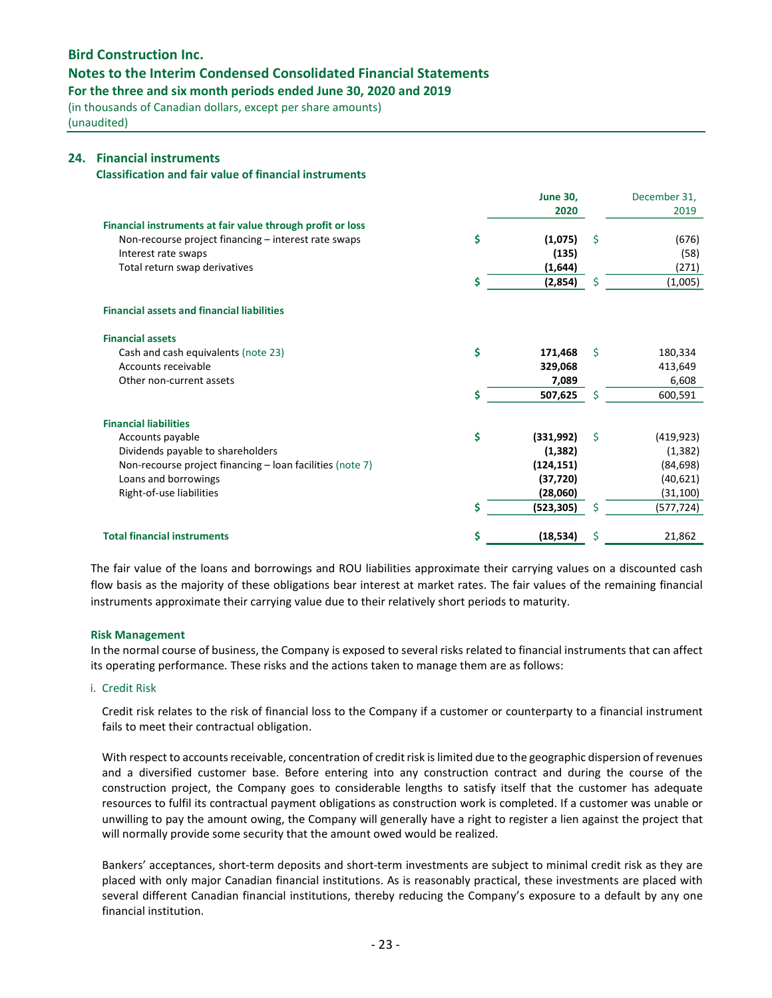## Notes to the Interim Condensed Consolidated Financial Statements

For the three and six month periods ended June 30, 2020 and 2019

(in thousands of Canadian dollars, except per share amounts) (unaudited)

#### 24. Financial instruments

Classification and fair value of financial instruments

|                                                            |    | <b>June 30,</b> |    | December 31, |
|------------------------------------------------------------|----|-----------------|----|--------------|
|                                                            |    | 2020            |    | 2019         |
| Financial instruments at fair value through profit or loss |    |                 |    |              |
| Non-recourse project financing - interest rate swaps       | \$ | (1,075)         | \$ | (676)        |
| Interest rate swaps                                        |    | (135)           |    | (58)         |
| Total return swap derivatives                              |    | (1,644)         |    | (271)        |
|                                                            |    | (2,854)         | \$ | (1,005)      |
| <b>Financial assets and financial liabilities</b>          |    |                 |    |              |
| <b>Financial assets</b>                                    |    |                 |    |              |
| Cash and cash equivalents (note 23)                        | \$ | 171,468         | Ŝ. | 180,334      |
| Accounts receivable                                        |    | 329,068         |    | 413,649      |
| Other non-current assets                                   |    | 7,089           |    | 6,608        |
|                                                            | Ś  | 507,625         | Ś  | 600,591      |
| <b>Financial liabilities</b>                               |    |                 |    |              |
| Accounts payable                                           | \$ | (331,992)       | Ŝ. | (419, 923)   |
| Dividends payable to shareholders                          |    | (1, 382)        |    | (1, 382)     |
| Non-recourse project financing - loan facilities (note 7)  |    | (124, 151)      |    | (84, 698)    |
| Loans and borrowings                                       |    | (37, 720)       |    | (40, 621)    |
| Right-of-use liabilities                                   |    | (28,060)        |    | (31, 100)    |
|                                                            | Ś  | (523, 305)      | Ś  | (577, 724)   |
| <b>Total financial instruments</b>                         | \$ | (18, 534)       | \$ | 21,862       |

The fair value of the loans and borrowings and ROU liabilities approximate their carrying values on a discounted cash flow basis as the majority of these obligations bear interest at market rates. The fair values of the remaining financial instruments approximate their carrying value due to their relatively short periods to maturity.

#### Risk Management

In the normal course of business, the Company is exposed to several risks related to financial instruments that can affect its operating performance. These risks and the actions taken to manage them are as follows:

#### i. Credit Risk

Credit risk relates to the risk of financial loss to the Company if a customer or counterparty to a financial instrument fails to meet their contractual obligation.

With respect to accounts receivable, concentration of credit risk is limited due to the geographic dispersion of revenues and a diversified customer base. Before entering into any construction contract and during the course of the construction project, the Company goes to considerable lengths to satisfy itself that the customer has adequate resources to fulfil its contractual payment obligations as construction work is completed. If a customer was unable or unwilling to pay the amount owing, the Company will generally have a right to register a lien against the project that will normally provide some security that the amount owed would be realized.

Bankers' acceptances, short-term deposits and short-term investments are subject to minimal credit risk as they are placed with only major Canadian financial institutions. As is reasonably practical, these investments are placed with several different Canadian financial institutions, thereby reducing the Company's exposure to a default by any one financial institution.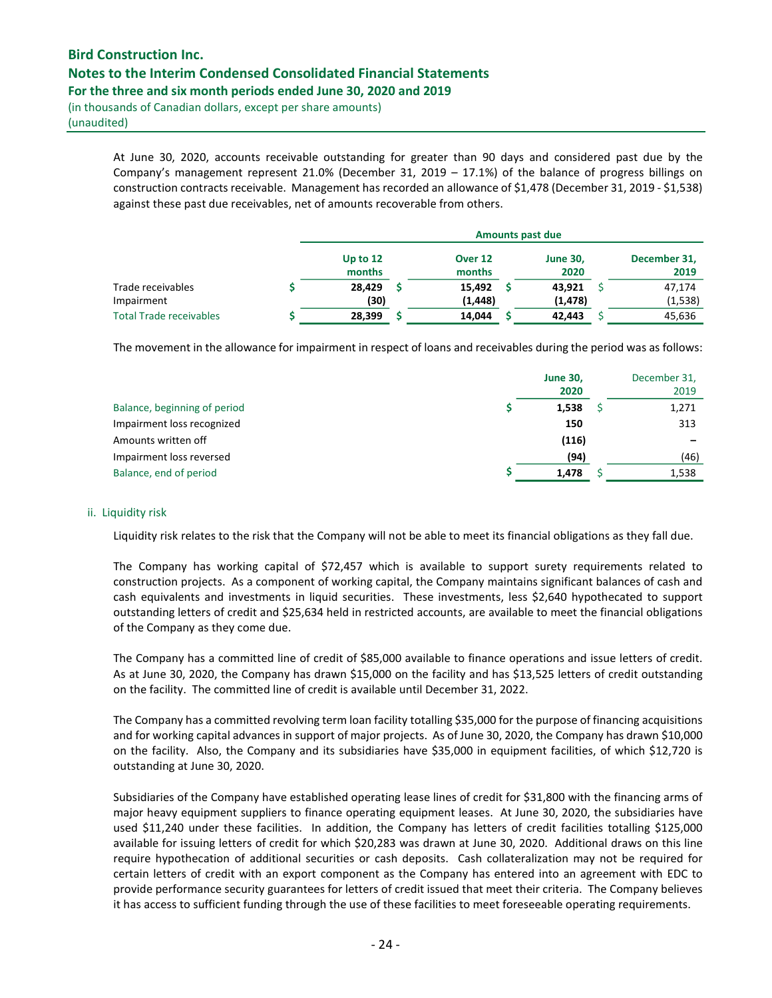(in thousands of Canadian dollars, except per share amounts) (unaudited)

> At June 30, 2020, accounts receivable outstanding for greater than 90 days and considered past due by the Company's management represent 21.0% (December 31, 2019 – 17.1%) of the balance of progress billings on construction contracts receivable. Management has recorded an allowance of \$1,478 (December 31, 2019 - \$1,538) against these past due receivables, net of amounts recoverable from others.

|                                | <b>Amounts past due</b> |  |                   |  |                         |  |                      |  |  |
|--------------------------------|-------------------------|--|-------------------|--|-------------------------|--|----------------------|--|--|
|                                | Up to $12$<br>months    |  | Over 12<br>months |  | <b>June 30,</b><br>2020 |  | December 31,<br>2019 |  |  |
| Trade receivables              | 28,429                  |  | 15,492            |  | 43,921                  |  | 47,174               |  |  |
| Impairment                     | (30)                    |  | (1, 448)          |  | (1, 478)                |  | (1, 538)             |  |  |
| <b>Total Trade receivables</b> | 28,399                  |  | 14,044            |  | 42,443                  |  | 45,636               |  |  |

The movement in the allowance for impairment in respect of loans and receivables during the period was as follows:

|                              | <b>June 30,</b><br>2020 | December 31,<br>2019 |
|------------------------------|-------------------------|----------------------|
| Balance, beginning of period | 1,538                   | 1,271                |
| Impairment loss recognized   | 150                     | 313                  |
| Amounts written off          | (116)                   |                      |
| Impairment loss reversed     | (94)                    | (46)                 |
| Balance, end of period       | 1,478                   | 1,538                |

### ii. Liquidity risk

Liquidity risk relates to the risk that the Company will not be able to meet its financial obligations as they fall due.

The Company has working capital of \$72,457 which is available to support surety requirements related to construction projects. As a component of working capital, the Company maintains significant balances of cash and cash equivalents and investments in liquid securities. These investments, less \$2,640 hypothecated to support outstanding letters of credit and \$25,634 held in restricted accounts, are available to meet the financial obligations of the Company as they come due.

The Company has a committed line of credit of \$85,000 available to finance operations and issue letters of credit. As at June 30, 2020, the Company has drawn \$15,000 on the facility and has \$13,525 letters of credit outstanding on the facility. The committed line of credit is available until December 31, 2022.

The Company has a committed revolving term loan facility totalling \$35,000 for the purpose of financing acquisitions and for working capital advances in support of major projects. As of June 30, 2020, the Company has drawn \$10,000 on the facility. Also, the Company and its subsidiaries have \$35,000 in equipment facilities, of which \$12,720 is outstanding at June 30, 2020.

Subsidiaries of the Company have established operating lease lines of credit for \$31,800 with the financing arms of major heavy equipment suppliers to finance operating equipment leases. At June 30, 2020, the subsidiaries have used \$11,240 under these facilities. In addition, the Company has letters of credit facilities totalling \$125,000 available for issuing letters of credit for which \$20,283 was drawn at June 30, 2020. Additional draws on this line require hypothecation of additional securities or cash deposits. Cash collateralization may not be required for certain letters of credit with an export component as the Company has entered into an agreement with EDC to provide performance security guarantees for letters of credit issued that meet their criteria. The Company believes it has access to sufficient funding through the use of these facilities to meet foreseeable operating requirements.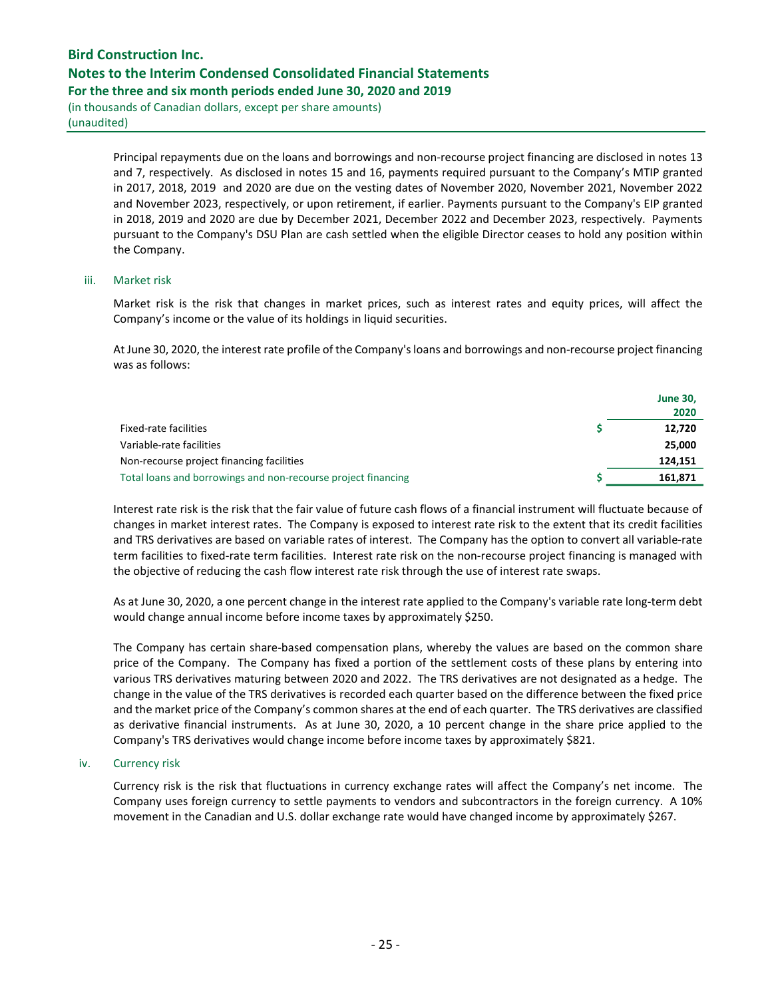(in thousands of Canadian dollars, except per share amounts) (unaudited)

> Principal repayments due on the loans and borrowings and non-recourse project financing are disclosed in notes 13 and 7, respectively. As disclosed in notes 15 and 16, payments required pursuant to the Company's MTIP granted in 2017, 2018, 2019 and 2020 are due on the vesting dates of November 2020, November 2021, November 2022 and November 2023, respectively, or upon retirement, if earlier. Payments pursuant to the Company's EIP granted in 2018, 2019 and 2020 are due by December 2021, December 2022 and December 2023, respectively. Payments pursuant to the Company's DSU Plan are cash settled when the eligible Director ceases to hold any position within the Company.

#### iii. Market risk

Market risk is the risk that changes in market prices, such as interest rates and equity prices, will affect the Company's income or the value of its holdings in liquid securities.

At June 30, 2020, the interest rate profile of the Company's loans and borrowings and non-recourse project financing was as follows:

|                                                               | <b>June 30,</b><br>2020 |
|---------------------------------------------------------------|-------------------------|
| Fixed-rate facilities                                         | 12,720                  |
| Variable-rate facilities                                      | 25,000                  |
| Non-recourse project financing facilities                     | 124.151                 |
| Total loans and borrowings and non-recourse project financing | 161,871                 |

Interest rate risk is the risk that the fair value of future cash flows of a financial instrument will fluctuate because of changes in market interest rates. The Company is exposed to interest rate risk to the extent that its credit facilities and TRS derivatives are based on variable rates of interest. The Company has the option to convert all variable-rate term facilities to fixed-rate term facilities. Interest rate risk on the non-recourse project financing is managed with the objective of reducing the cash flow interest rate risk through the use of interest rate swaps.

As at June 30, 2020, a one percent change in the interest rate applied to the Company's variable rate long-term debt would change annual income before income taxes by approximately \$250.

The Company has certain share-based compensation plans, whereby the values are based on the common share price of the Company. The Company has fixed a portion of the settlement costs of these plans by entering into various TRS derivatives maturing between 2020 and 2022. The TRS derivatives are not designated as a hedge. The change in the value of the TRS derivatives is recorded each quarter based on the difference between the fixed price and the market price of the Company's common shares at the end of each quarter. The TRS derivatives are classified as derivative financial instruments. As at June 30, 2020, a 10 percent change in the share price applied to the Company's TRS derivatives would change income before income taxes by approximately \$821.

#### iv. Currency risk

Currency risk is the risk that fluctuations in currency exchange rates will affect the Company's net income. The Company uses foreign currency to settle payments to vendors and subcontractors in the foreign currency. A 10% movement in the Canadian and U.S. dollar exchange rate would have changed income by approximately \$267.